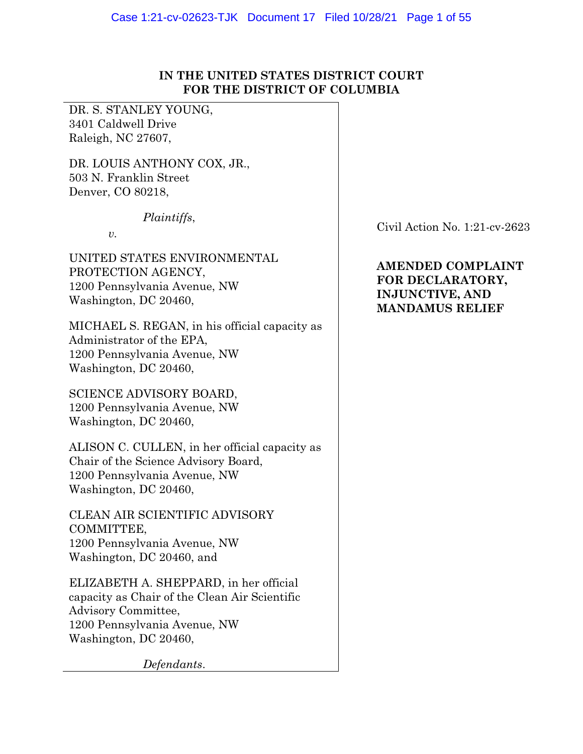# **IN THE UNITED STATES DISTRICT COURT FOR THE DISTRICT OF COLUMBIA**

DR. S. STANLEY YOUNG, 3401 Caldwell Drive Raleigh, NC 27607,

DR. LOUIS ANTHONY COX, JR., 503 N. Franklin Street Denver, CO 80218,

*Plaintiffs*,

*v.* 

UNITED STATES ENVIRONMENTAL PROTECTION AGENCY, 1200 Pennsylvania Avenue, NW Washington, DC 20460,

MICHAEL S. REGAN, in his official capacity as Administrator of the EPA, 1200 Pennsylvania Avenue, NW Washington, DC 20460,

SCIENCE ADVISORY BOARD, 1200 Pennsylvania Avenue, NW Washington, DC 20460,

ALISON C. CULLEN, in her official capacity as Chair of the Science Advisory Board, 1200 Pennsylvania Avenue, NW Washington, DC 20460,

CLEAN AIR SCIENTIFIC ADVISORY COMMITTEE, 1200 Pennsylvania Avenue, NW Washington, DC 20460, and

ELIZABETH A. SHEPPARD, in her official capacity as Chair of the Clean Air Scientific Advisory Committee, 1200 Pennsylvania Avenue, NW Washington, DC 20460,

*Defendants*.

Civil Action No. 1:21-cv-2623

# **AMENDED COMPLAINT FOR DECLARATORY, INJUNCTIVE, AND MANDAMUS RELIEF**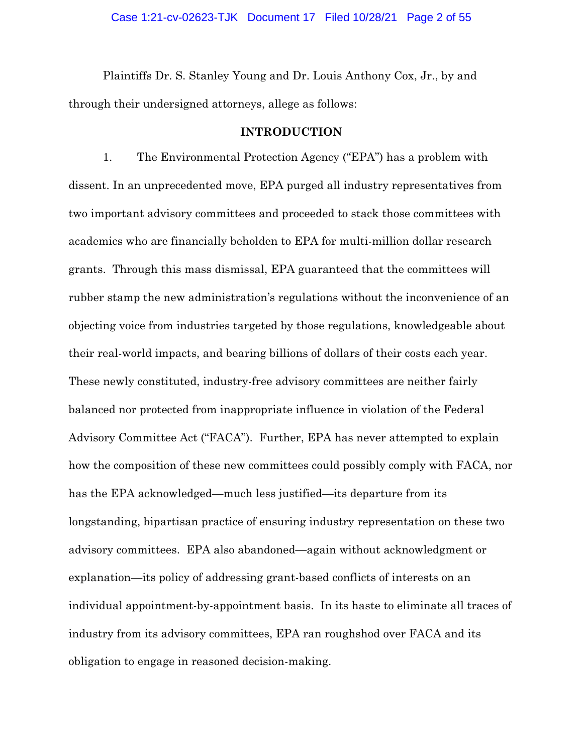Plaintiffs Dr. S. Stanley Young and Dr. Louis Anthony Cox, Jr., by and through their undersigned attorneys, allege as follows:

### **INTRODUCTION**

1. The Environmental Protection Agency ("EPA") has a problem with dissent. In an unprecedented move, EPA purged all industry representatives from two important advisory committees and proceeded to stack those committees with academics who are financially beholden to EPA for multi-million dollar research grants. Through this mass dismissal, EPA guaranteed that the committees will rubber stamp the new administration's regulations without the inconvenience of an objecting voice from industries targeted by those regulations, knowledgeable about their real-world impacts, and bearing billions of dollars of their costs each year. These newly constituted, industry-free advisory committees are neither fairly balanced nor protected from inappropriate influence in violation of the Federal Advisory Committee Act ("FACA"). Further, EPA has never attempted to explain how the composition of these new committees could possibly comply with FACA, nor has the EPA acknowledged—much less justified—its departure from its longstanding, bipartisan practice of ensuring industry representation on these two advisory committees. EPA also abandoned—again without acknowledgment or explanation—its policy of addressing grant-based conflicts of interests on an individual appointment-by-appointment basis. In its haste to eliminate all traces of industry from its advisory committees, EPA ran roughshod over FACA and its obligation to engage in reasoned decision-making.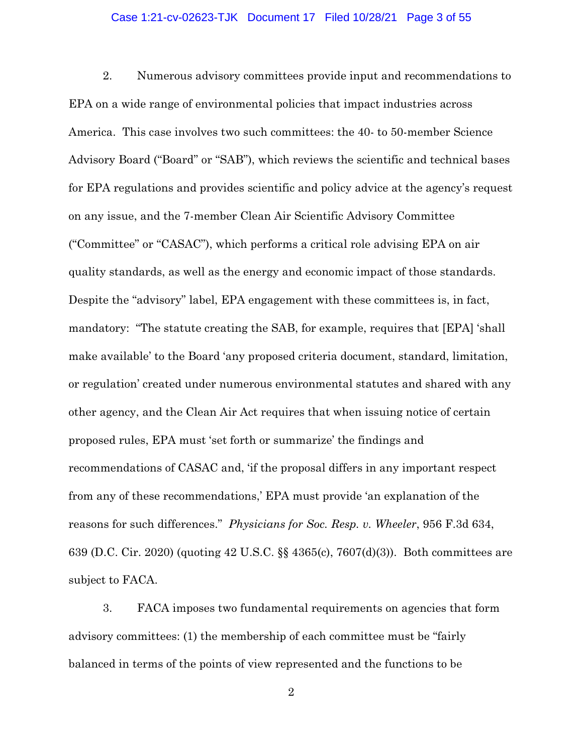#### Case 1:21-cv-02623-TJK Document 17 Filed 10/28/21 Page 3 of 55

2. Numerous advisory committees provide input and recommendations to EPA on a wide range of environmental policies that impact industries across America. This case involves two such committees: the 40- to 50-member Science Advisory Board ("Board" or "SAB"), which reviews the scientific and technical bases for EPA regulations and provides scientific and policy advice at the agency's request on any issue, and the 7-member Clean Air Scientific Advisory Committee ("Committee" or "CASAC"), which performs a critical role advising EPA on air quality standards, as well as the energy and economic impact of those standards. Despite the "advisory" label, EPA engagement with these committees is, in fact, mandatory: "The statute creating the SAB, for example, requires that [EPA] 'shall make available' to the Board 'any proposed criteria document, standard, limitation, or regulation' created under numerous environmental statutes and shared with any other agency, and the Clean Air Act requires that when issuing notice of certain proposed rules, EPA must 'set forth or summarize' the findings and recommendations of CASAC and, 'if the proposal differs in any important respect from any of these recommendations,' EPA must provide 'an explanation of the reasons for such differences." *Physicians for Soc. Resp. v. Wheeler*, 956 F.3d 634, 639 (D.C. Cir. 2020) (quoting 42 U.S.C. §§ 4365(c), 7607(d)(3)). Both committees are subject to FACA.

3. FACA imposes two fundamental requirements on agencies that form advisory committees: (1) the membership of each committee must be "fairly balanced in terms of the points of view represented and the functions to be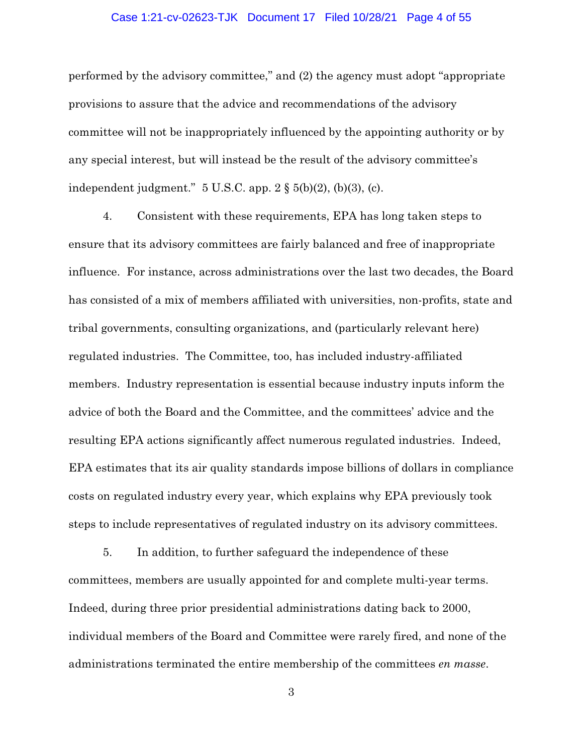#### Case 1:21-cv-02623-TJK Document 17 Filed 10/28/21 Page 4 of 55

performed by the advisory committee," and (2) the agency must adopt "appropriate provisions to assure that the advice and recommendations of the advisory committee will not be inappropriately influenced by the appointing authority or by any special interest, but will instead be the result of the advisory committee's independent judgment." 5 U.S.C. app. 2 § 5(b)(2), (b)(3), (c).

4. Consistent with these requirements, EPA has long taken steps to ensure that its advisory committees are fairly balanced and free of inappropriate influence. For instance, across administrations over the last two decades, the Board has consisted of a mix of members affiliated with universities, non-profits, state and tribal governments, consulting organizations, and (particularly relevant here) regulated industries. The Committee, too, has included industry-affiliated members. Industry representation is essential because industry inputs inform the advice of both the Board and the Committee, and the committees' advice and the resulting EPA actions significantly affect numerous regulated industries. Indeed, EPA estimates that its air quality standards impose billions of dollars in compliance costs on regulated industry every year, which explains why EPA previously took steps to include representatives of regulated industry on its advisory committees.

5. In addition, to further safeguard the independence of these committees, members are usually appointed for and complete multi-year terms. Indeed, during three prior presidential administrations dating back to 2000, individual members of the Board and Committee were rarely fired, and none of the administrations terminated the entire membership of the committees *en masse*.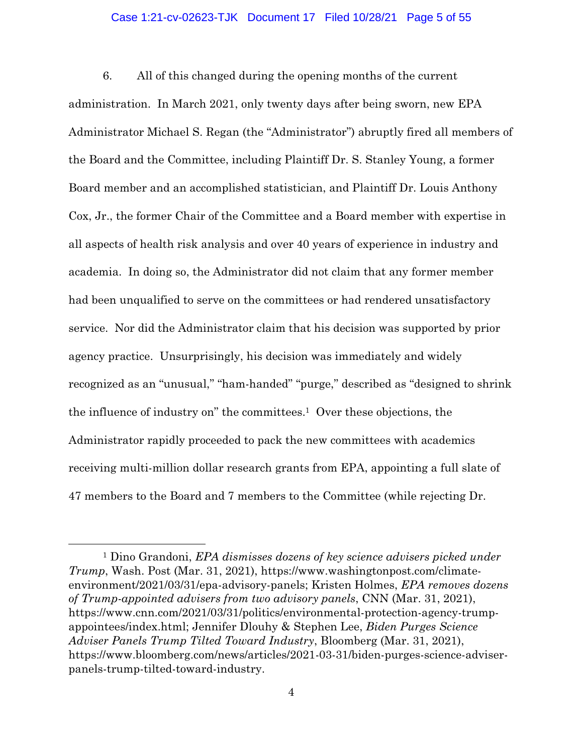#### Case 1:21-cv-02623-TJK Document 17 Filed 10/28/21 Page 5 of 55

6. All of this changed during the opening months of the current administration. In March 2021, only twenty days after being sworn, new EPA Administrator Michael S. Regan (the "Administrator") abruptly fired all members of the Board and the Committee, including Plaintiff Dr. S. Stanley Young, a former Board member and an accomplished statistician, and Plaintiff Dr. Louis Anthony Cox, Jr., the former Chair of the Committee and a Board member with expertise in all aspects of health risk analysis and over 40 years of experience in industry and academia. In doing so, the Administrator did not claim that any former member had been unqualified to serve on the committees or had rendered unsatisfactory service. Nor did the Administrator claim that his decision was supported by prior agency practice. Unsurprisingly, his decision was immediately and widely recognized as an "unusual," "ham-handed" "purge," described as "designed to shrink the influence of industry on" the committees.1 Over these objections, the Administrator rapidly proceeded to pack the new committees with academics receiving multi-million dollar research grants from EPA, appointing a full slate of 47 members to the Board and 7 members to the Committee (while rejecting Dr.

<sup>1</sup> Dino Grandoni, *EPA dismisses dozens of key science advisers picked under Trump*, Wash. Post (Mar. 31, 2021), https://www.washingtonpost.com/climateenvironment/2021/03/31/epa-advisory-panels; Kristen Holmes, *EPA removes dozens of Trump-appointed advisers from two advisory panels*, CNN (Mar. 31, 2021), https://www.cnn.com/2021/03/31/politics/environmental-protection-agency-trumpappointees/index.html; Jennifer Dlouhy & Stephen Lee, *Biden Purges Science Adviser Panels Trump Tilted Toward Industry*, Bloomberg (Mar. 31, 2021), https://www.bloomberg.com/news/articles/2021-03-31/biden-purges-science-adviserpanels-trump-tilted-toward-industry.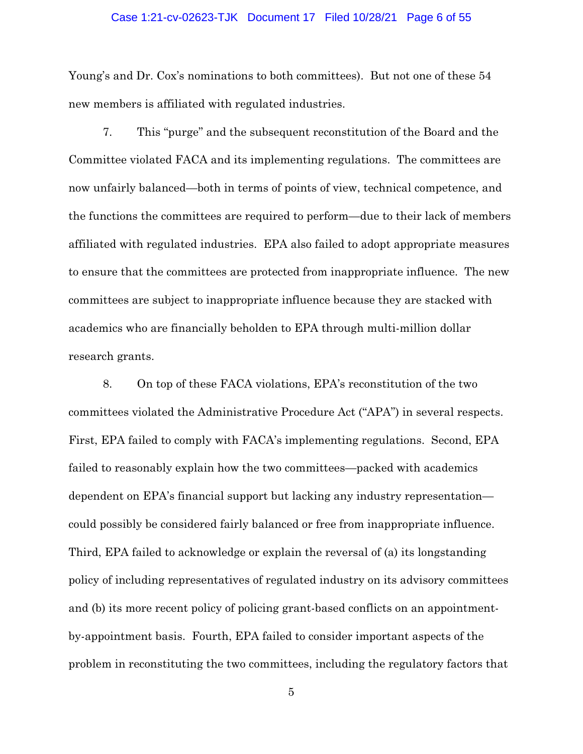#### Case 1:21-cv-02623-TJK Document 17 Filed 10/28/21 Page 6 of 55

Young's and Dr. Cox's nominations to both committees). But not one of these 54 new members is affiliated with regulated industries.

7. This "purge" and the subsequent reconstitution of the Board and the Committee violated FACA and its implementing regulations. The committees are now unfairly balanced—both in terms of points of view, technical competence, and the functions the committees are required to perform—due to their lack of members affiliated with regulated industries. EPA also failed to adopt appropriate measures to ensure that the committees are protected from inappropriate influence. The new committees are subject to inappropriate influence because they are stacked with academics who are financially beholden to EPA through multi-million dollar research grants.

8. On top of these FACA violations, EPA's reconstitution of the two committees violated the Administrative Procedure Act ("APA") in several respects. First, EPA failed to comply with FACA's implementing regulations. Second, EPA failed to reasonably explain how the two committees—packed with academics dependent on EPA's financial support but lacking any industry representation could possibly be considered fairly balanced or free from inappropriate influence. Third, EPA failed to acknowledge or explain the reversal of (a) its longstanding policy of including representatives of regulated industry on its advisory committees and (b) its more recent policy of policing grant-based conflicts on an appointmentby-appointment basis. Fourth, EPA failed to consider important aspects of the problem in reconstituting the two committees, including the regulatory factors that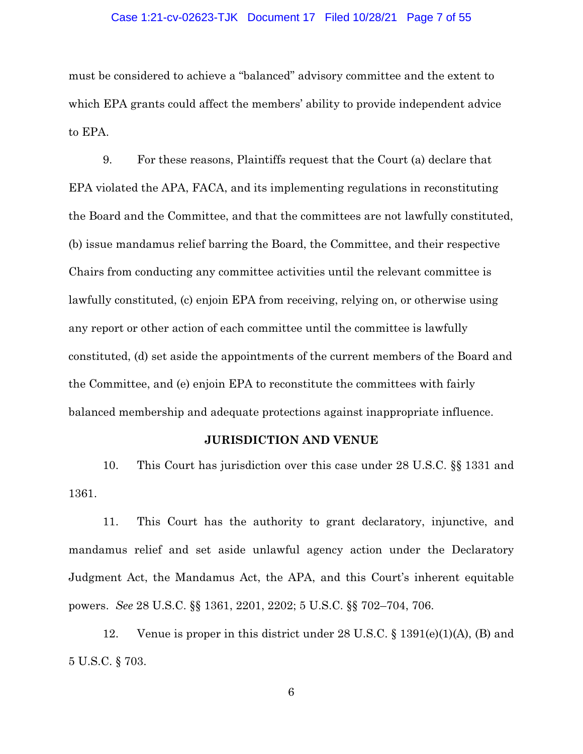#### Case 1:21-cv-02623-TJK Document 17 Filed 10/28/21 Page 7 of 55

must be considered to achieve a "balanced" advisory committee and the extent to which EPA grants could affect the members' ability to provide independent advice to EPA.

9. For these reasons, Plaintiffs request that the Court (a) declare that EPA violated the APA, FACA, and its implementing regulations in reconstituting the Board and the Committee, and that the committees are not lawfully constituted, (b) issue mandamus relief barring the Board, the Committee, and their respective Chairs from conducting any committee activities until the relevant committee is lawfully constituted, (c) enjoin EPA from receiving, relying on, or otherwise using any report or other action of each committee until the committee is lawfully constituted, (d) set aside the appointments of the current members of the Board and the Committee, and (e) enjoin EPA to reconstitute the committees with fairly balanced membership and adequate protections against inappropriate influence.

### **JURISDICTION AND VENUE**

10. This Court has jurisdiction over this case under 28 U.S.C. §§ 1331 and 1361.

11. This Court has the authority to grant declaratory, injunctive, and mandamus relief and set aside unlawful agency action under the Declaratory Judgment Act, the Mandamus Act, the APA, and this Court's inherent equitable powers. *See* 28 U.S.C. §§ 1361, 2201, 2202; 5 U.S.C. §§ 702–704, 706.

12. Venue is proper in this district under 28 U.S.C. § 1391(e)(1)(A), (B) and 5 U.S.C. § 703.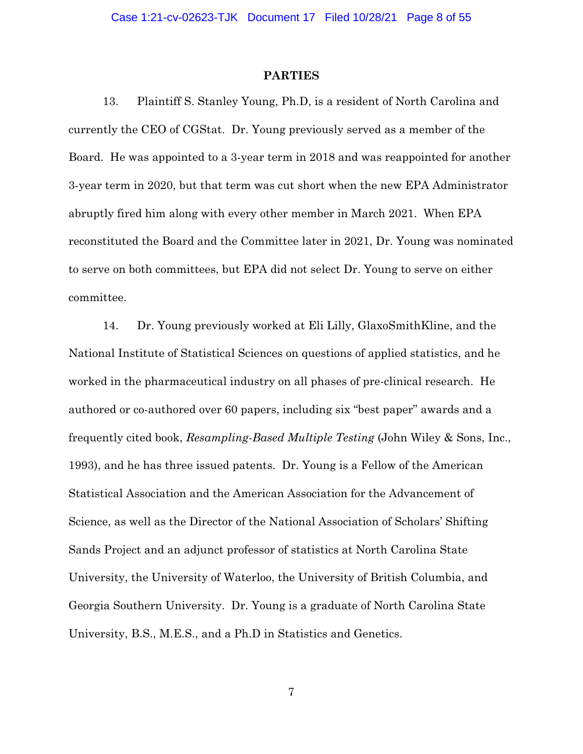#### **PARTIES**

13. Plaintiff S. Stanley Young, Ph.D, is a resident of North Carolina and currently the CEO of CGStat. Dr. Young previously served as a member of the Board. He was appointed to a 3-year term in 2018 and was reappointed for another 3-year term in 2020, but that term was cut short when the new EPA Administrator abruptly fired him along with every other member in March 2021. When EPA reconstituted the Board and the Committee later in 2021, Dr. Young was nominated to serve on both committees, but EPA did not select Dr. Young to serve on either committee.

14. Dr. Young previously worked at Eli Lilly, GlaxoSmithKline, and the National Institute of Statistical Sciences on questions of applied statistics, and he worked in the pharmaceutical industry on all phases of pre-clinical research. He authored or co-authored over 60 papers, including six "best paper" awards and a frequently cited book, *Resampling-Based Multiple Testing* (John Wiley & Sons, Inc., 1993), and he has three issued patents. Dr. Young is a Fellow of the American Statistical Association and the American Association for the Advancement of Science, as well as the Director of the National Association of Scholars' Shifting Sands Project and an adjunct professor of statistics at North Carolina State University, the University of Waterloo, the University of British Columbia, and Georgia Southern University. Dr. Young is a graduate of North Carolina State University, B.S., M.E.S., and a Ph.D in Statistics and Genetics.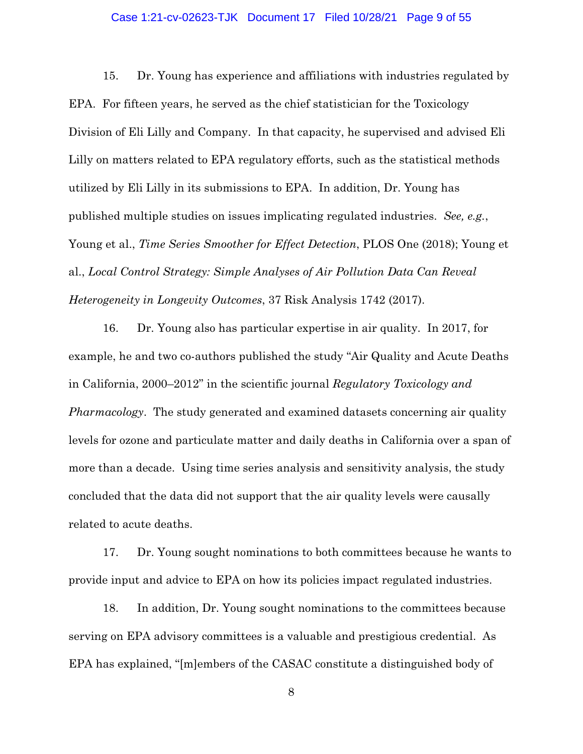#### Case 1:21-cv-02623-TJK Document 17 Filed 10/28/21 Page 9 of 55

15. Dr. Young has experience and affiliations with industries regulated by EPA. For fifteen years, he served as the chief statistician for the Toxicology Division of Eli Lilly and Company. In that capacity, he supervised and advised Eli Lilly on matters related to EPA regulatory efforts, such as the statistical methods utilized by Eli Lilly in its submissions to EPA. In addition, Dr. Young has published multiple studies on issues implicating regulated industries. *See, e.g.*, Young et al., *Time Series Smoother for Effect Detection*, PLOS One (2018); Young et al., *Local Control Strategy: Simple Analyses of Air Pollution Data Can Reveal Heterogeneity in Longevity Outcomes*, 37 Risk Analysis 1742 (2017).

16. Dr. Young also has particular expertise in air quality. In 2017, for example, he and two co-authors published the study "Air Quality and Acute Deaths in California, 2000–2012" in the scientific journal *Regulatory Toxicology and Pharmacology*. The study generated and examined datasets concerning air quality levels for ozone and particulate matter and daily deaths in California over a span of more than a decade. Using time series analysis and sensitivity analysis, the study concluded that the data did not support that the air quality levels were causally related to acute deaths.

17. Dr. Young sought nominations to both committees because he wants to provide input and advice to EPA on how its policies impact regulated industries.

18. In addition, Dr. Young sought nominations to the committees because serving on EPA advisory committees is a valuable and prestigious credential. As EPA has explained, "[m]embers of the CASAC constitute a distinguished body of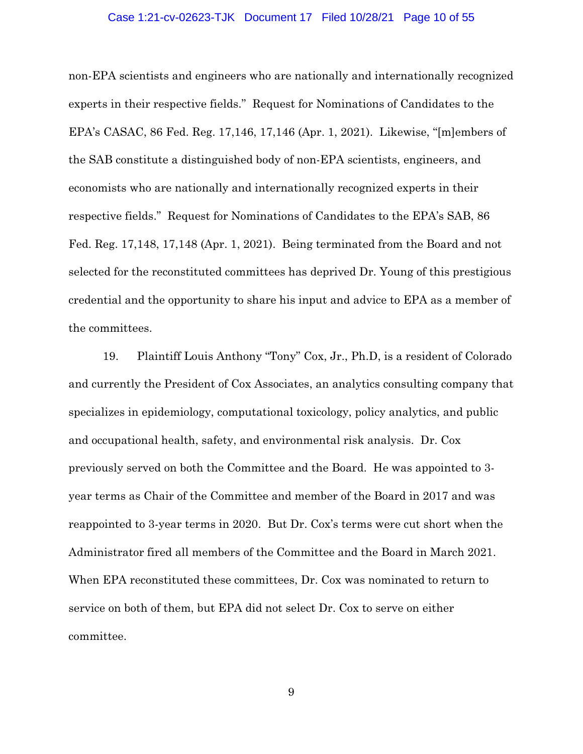#### Case 1:21-cv-02623-TJK Document 17 Filed 10/28/21 Page 10 of 55

non-EPA scientists and engineers who are nationally and internationally recognized experts in their respective fields." Request for Nominations of Candidates to the EPA's CASAC, 86 Fed. Reg. 17,146, 17,146 (Apr. 1, 2021). Likewise, "[m]embers of the SAB constitute a distinguished body of non-EPA scientists, engineers, and economists who are nationally and internationally recognized experts in their respective fields." Request for Nominations of Candidates to the EPA's SAB, 86 Fed. Reg. 17,148, 17,148 (Apr. 1, 2021). Being terminated from the Board and not selected for the reconstituted committees has deprived Dr. Young of this prestigious credential and the opportunity to share his input and advice to EPA as a member of the committees.

19. Plaintiff Louis Anthony "Tony" Cox, Jr., Ph.D, is a resident of Colorado and currently the President of Cox Associates, an analytics consulting company that specializes in epidemiology, computational toxicology, policy analytics, and public and occupational health, safety, and environmental risk analysis. Dr. Cox previously served on both the Committee and the Board. He was appointed to 3 year terms as Chair of the Committee and member of the Board in 2017 and was reappointed to 3-year terms in 2020. But Dr. Cox's terms were cut short when the Administrator fired all members of the Committee and the Board in March 2021. When EPA reconstituted these committees, Dr. Cox was nominated to return to service on both of them, but EPA did not select Dr. Cox to serve on either committee.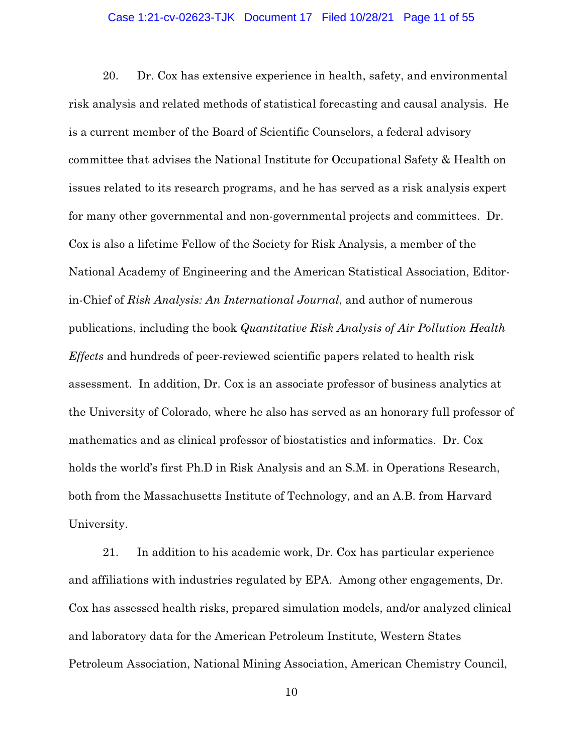#### Case 1:21-cv-02623-TJK Document 17 Filed 10/28/21 Page 11 of 55

20. Dr. Cox has extensive experience in health, safety, and environmental risk analysis and related methods of statistical forecasting and causal analysis. He is a current member of the Board of Scientific Counselors, a federal advisory committee that advises the National Institute for Occupational Safety & Health on issues related to its research programs, and he has served as a risk analysis expert for many other governmental and non-governmental projects and committees. Dr. Cox is also a lifetime Fellow of the Society for Risk Analysis, a member of the National Academy of Engineering and the American Statistical Association, Editorin-Chief of *Risk Analysis: An International Journal*, and author of numerous publications, including the book *Quantitative Risk Analysis of Air Pollution Health Effects* and hundreds of peer-reviewed scientific papers related to health risk assessment. In addition, Dr. Cox is an associate professor of business analytics at the University of Colorado, where he also has served as an honorary full professor of mathematics and as clinical professor of biostatistics and informatics. Dr. Cox holds the world's first Ph.D in Risk Analysis and an S.M. in Operations Research, both from the Massachusetts Institute of Technology, and an A.B. from Harvard University.

21. In addition to his academic work, Dr. Cox has particular experience and affiliations with industries regulated by EPA. Among other engagements, Dr. Cox has assessed health risks, prepared simulation models, and/or analyzed clinical and laboratory data for the American Petroleum Institute, Western States Petroleum Association, National Mining Association, American Chemistry Council,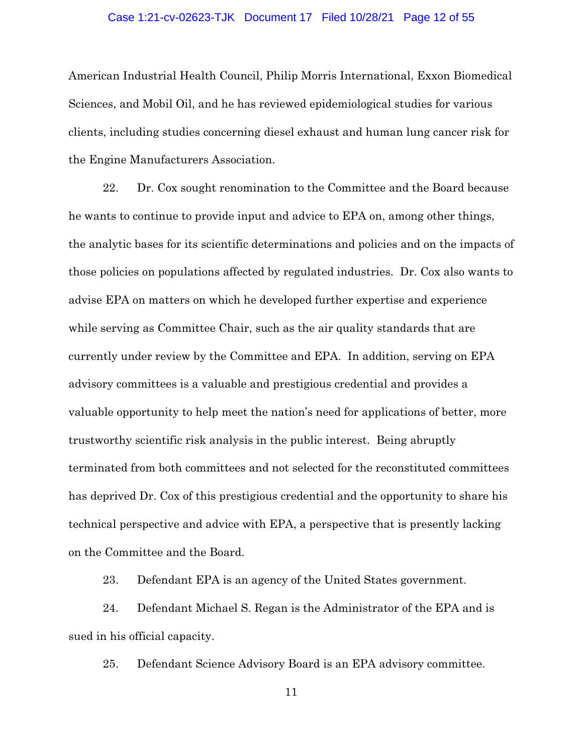#### Case 1:21-cv-02623-TJK Document 17 Filed 10/28/21 Page 12 of 55

American Industrial Health Council, Philip Morris International, Exxon Biomedical Sciences, and Mobil Oil, and he has reviewed epidemiological studies for various clients, including studies concerning diesel exhaust and human lung cancer risk for the Engine Manufacturers Association.

22. Dr. Cox sought renomination to the Committee and the Board because he wants to continue to provide input and advice to EPA on, among other things, the analytic bases for its scientific determinations and policies and on the impacts of those policies on populations affected by regulated industries. Dr. Cox also wants to advise EPA on matters on which he developed further expertise and experience while serving as Committee Chair, such as the air quality standards that are currently under review by the Committee and EPA. In addition, serving on EPA advisory committees is a valuable and prestigious credential and provides a valuable opportunity to help meet the nation's need for applications of better, more trustworthy scientific risk analysis in the public interest. Being abruptly terminated from both committees and not selected for the reconstituted committees has deprived Dr. Cox of this prestigious credential and the opportunity to share his technical perspective and advice with EPA, a perspective that is presently lacking on the Committee and the Board.

23. Defendant EPA is an agency of the United States government.

24. Defendant Michael S. Regan is the Administrator of the EPA and is sued in his official capacity.

25. Defendant Science Advisory Board is an EPA advisory committee.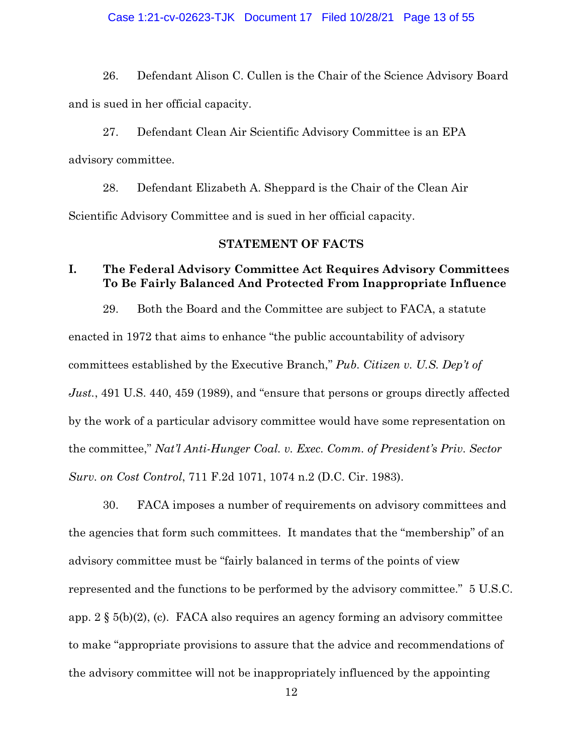#### Case 1:21-cv-02623-TJK Document 17 Filed 10/28/21 Page 13 of 55

26. Defendant Alison C. Cullen is the Chair of the Science Advisory Board and is sued in her official capacity.

27. Defendant Clean Air Scientific Advisory Committee is an EPA advisory committee.

28. Defendant Elizabeth A. Sheppard is the Chair of the Clean Air Scientific Advisory Committee and is sued in her official capacity.

### **STATEMENT OF FACTS**

# **I. The Federal Advisory Committee Act Requires Advisory Committees To Be Fairly Balanced And Protected From Inappropriate Influence**

29. Both the Board and the Committee are subject to FACA, a statute enacted in 1972 that aims to enhance "the public accountability of advisory committees established by the Executive Branch," *Pub. Citizen v. U.S. Dep't of Just.*, 491 U.S. 440, 459 (1989), and "ensure that persons or groups directly affected by the work of a particular advisory committee would have some representation on the committee," *Nat'l Anti-Hunger Coal. v. Exec. Comm. of President's Priv. Sector Surv. on Cost Control*, 711 F.2d 1071, 1074 n.2 (D.C. Cir. 1983).

30. FACA imposes a number of requirements on advisory committees and the agencies that form such committees. It mandates that the "membership" of an advisory committee must be "fairly balanced in terms of the points of view represented and the functions to be performed by the advisory committee." 5 U.S.C. app. 2 § 5(b)(2), (c). FACA also requires an agency forming an advisory committee to make "appropriate provisions to assure that the advice and recommendations of the advisory committee will not be inappropriately influenced by the appointing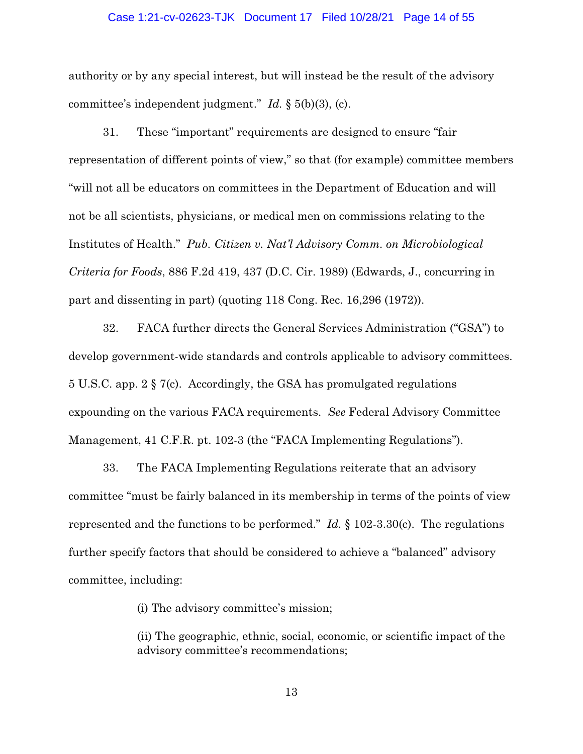#### Case 1:21-cv-02623-TJK Document 17 Filed 10/28/21 Page 14 of 55

authority or by any special interest, but will instead be the result of the advisory committee's independent judgment." *Id.* § 5(b)(3), (c).

31. These "important" requirements are designed to ensure "fair representation of different points of view," so that (for example) committee members "will not all be educators on committees in the Department of Education and will not be all scientists, physicians, or medical men on commissions relating to the Institutes of Health." *Pub. Citizen v. Nat'l Advisory Comm. on Microbiological Criteria for Foods*, 886 F.2d 419, 437 (D.C. Cir. 1989) (Edwards, J., concurring in part and dissenting in part) (quoting 118 Cong. Rec. 16,296 (1972)).

32. FACA further directs the General Services Administration ("GSA") to develop government-wide standards and controls applicable to advisory committees. 5 U.S.C. app. 2 § 7(c). Accordingly, the GSA has promulgated regulations expounding on the various FACA requirements. *See* Federal Advisory Committee Management, 41 C.F.R. pt. 102-3 (the "FACA Implementing Regulations").

33. The FACA Implementing Regulations reiterate that an advisory committee "must be fairly balanced in its membership in terms of the points of view represented and the functions to be performed." *Id.* § 102-3.30(c). The regulations further specify factors that should be considered to achieve a "balanced" advisory committee, including:

(i) The advisory committee's mission;

(ii) The geographic, ethnic, social, economic, or scientific impact of the advisory committee's recommendations;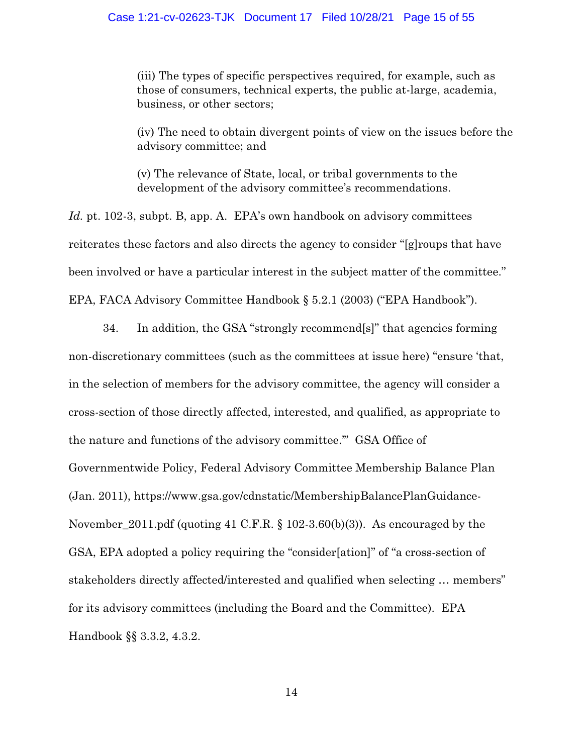(iii) The types of specific perspectives required, for example, such as those of consumers, technical experts, the public at-large, academia, business, or other sectors;

(iv) The need to obtain divergent points of view on the issues before the advisory committee; and

(v) The relevance of State, local, or tribal governments to the development of the advisory committee's recommendations.

*Id.* pt. 102-3, subpt. B, app. A. EPA's own handbook on advisory committees reiterates these factors and also directs the agency to consider "[g]roups that have been involved or have a particular interest in the subject matter of the committee." EPA, FACA Advisory Committee Handbook § 5.2.1 (2003) ("EPA Handbook").

34. In addition, the GSA "strongly recommend[s]" that agencies forming non-discretionary committees (such as the committees at issue here) "ensure 'that, in the selection of members for the advisory committee, the agency will consider a cross-section of those directly affected, interested, and qualified, as appropriate to the nature and functions of the advisory committee.'" GSA Office of Governmentwide Policy, Federal Advisory Committee Membership Balance Plan (Jan. 2011), https://www.gsa.gov/cdnstatic/MembershipBalancePlanGuidance-November\_2011.pdf (quoting 41 C.F.R. § 102-3.60(b)(3)). As encouraged by the GSA, EPA adopted a policy requiring the "consider[ation]" of "a cross-section of stakeholders directly affected/interested and qualified when selecting … members" for its advisory committees (including the Board and the Committee). EPA Handbook §§ 3.3.2, 4.3.2.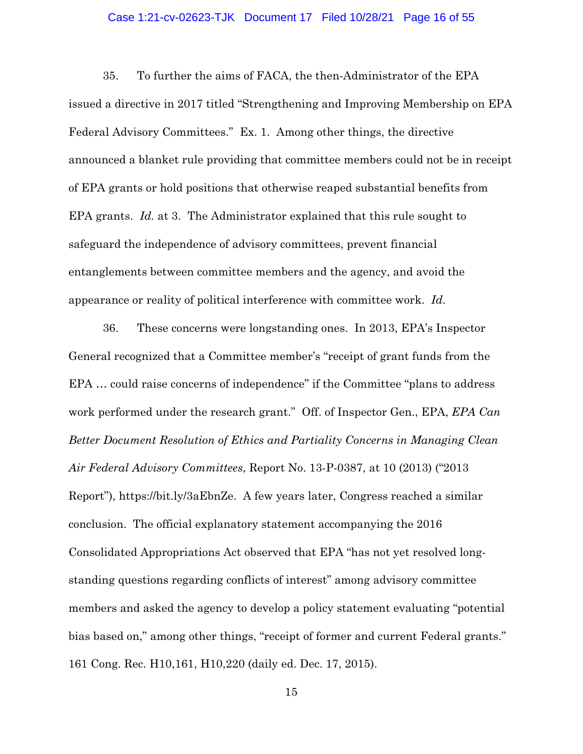#### Case 1:21-cv-02623-TJK Document 17 Filed 10/28/21 Page 16 of 55

35. To further the aims of FACA, the then-Administrator of the EPA issued a directive in 2017 titled "Strengthening and Improving Membership on EPA Federal Advisory Committees." Ex. 1. Among other things, the directive announced a blanket rule providing that committee members could not be in receipt of EPA grants or hold positions that otherwise reaped substantial benefits from EPA grants. *Id.* at 3. The Administrator explained that this rule sought to safeguard the independence of advisory committees, prevent financial entanglements between committee members and the agency, and avoid the appearance or reality of political interference with committee work. *Id.* 

36. These concerns were longstanding ones. In 2013, EPA's Inspector General recognized that a Committee member's "receipt of grant funds from the EPA … could raise concerns of independence" if the Committee "plans to address work performed under the research grant." Off. of Inspector Gen., EPA, *EPA Can Better Document Resolution of Ethics and Partiality Concerns in Managing Clean Air Federal Advisory Committees*, Report No. 13-P-0387, at 10 (2013) ("2013 Report"), https://bit.ly/3aEbnZe. A few years later, Congress reached a similar conclusion. The official explanatory statement accompanying the 2016 Consolidated Appropriations Act observed that EPA "has not yet resolved longstanding questions regarding conflicts of interest" among advisory committee members and asked the agency to develop a policy statement evaluating "potential bias based on," among other things, "receipt of former and current Federal grants." 161 Cong. Rec. H10,161, H10,220 (daily ed. Dec. 17, 2015).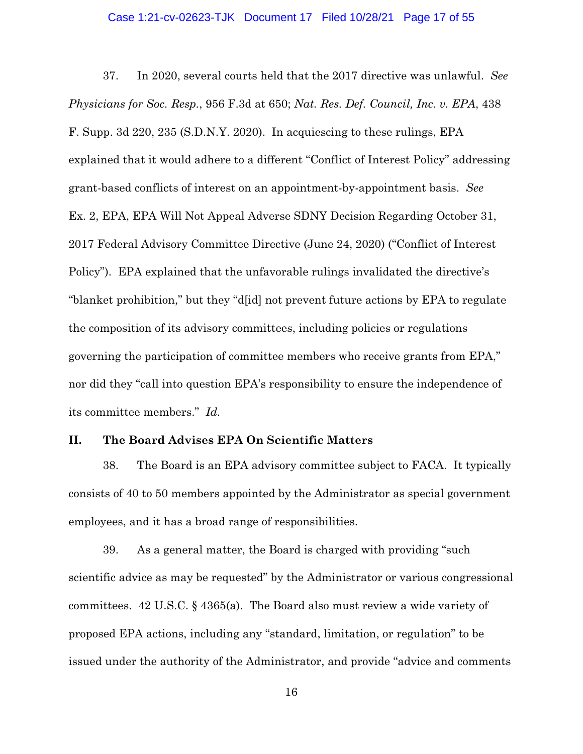#### Case 1:21-cv-02623-TJK Document 17 Filed 10/28/21 Page 17 of 55

37. In 2020, several courts held that the 2017 directive was unlawful. *See Physicians for Soc. Resp.*, 956 F.3d at 650; *Nat. Res. Def. Council, Inc. v. EPA*, 438 F. Supp. 3d 220, 235 (S.D.N.Y. 2020). In acquiescing to these rulings, EPA explained that it would adhere to a different "Conflict of Interest Policy" addressing grant-based conflicts of interest on an appointment-by-appointment basis. *See*  Ex. 2, EPA, EPA Will Not Appeal Adverse SDNY Decision Regarding October 31, 2017 Federal Advisory Committee Directive (June 24, 2020) ("Conflict of Interest Policy"). EPA explained that the unfavorable rulings invalidated the directive's "blanket prohibition," but they "d[id] not prevent future actions by EPA to regulate the composition of its advisory committees, including policies or regulations governing the participation of committee members who receive grants from EPA," nor did they "call into question EPA's responsibility to ensure the independence of its committee members." *Id.*

## **II. The Board Advises EPA On Scientific Matters**

38. The Board is an EPA advisory committee subject to FACA. It typically consists of 40 to 50 members appointed by the Administrator as special government employees, and it has a broad range of responsibilities.

39. As a general matter, the Board is charged with providing "such scientific advice as may be requested" by the Administrator or various congressional committees. 42 U.S.C. § 4365(a). The Board also must review a wide variety of proposed EPA actions, including any "standard, limitation, or regulation" to be issued under the authority of the Administrator, and provide "advice and comments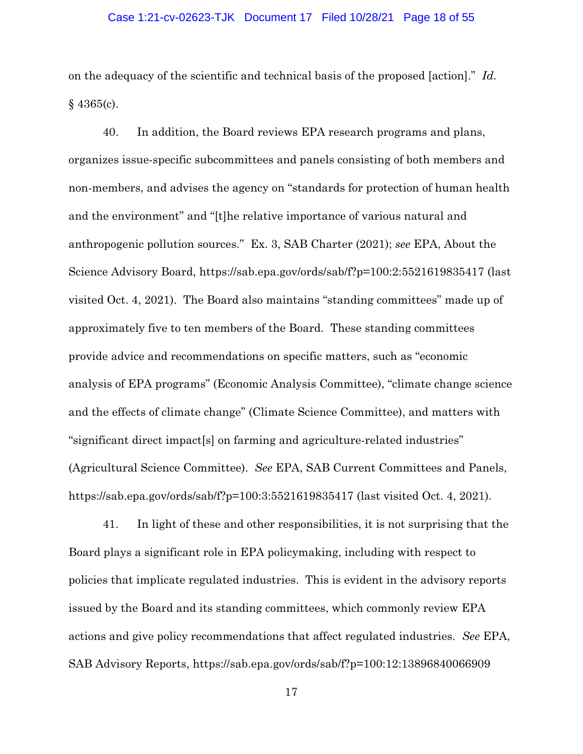#### Case 1:21-cv-02623-TJK Document 17 Filed 10/28/21 Page 18 of 55

on the adequacy of the scientific and technical basis of the proposed [action]." *Id.*   $§$  4365(c).

40. In addition, the Board reviews EPA research programs and plans, organizes issue-specific subcommittees and panels consisting of both members and non-members, and advises the agency on "standards for protection of human health and the environment" and "[t]he relative importance of various natural and anthropogenic pollution sources." Ex. 3, SAB Charter (2021); *see* EPA, About the Science Advisory Board, https://sab.epa.gov/ords/sab/f?p=100:2:5521619835417 (last visited Oct. 4, 2021). The Board also maintains "standing committees" made up of approximately five to ten members of the Board. These standing committees provide advice and recommendations on specific matters, such as "economic analysis of EPA programs" (Economic Analysis Committee), "climate change science and the effects of climate change" (Climate Science Committee), and matters with "significant direct impact[s] on farming and agriculture-related industries" (Agricultural Science Committee). *See* EPA, SAB Current Committees and Panels, https://sab.epa.gov/ords/sab/f?p=100:3:5521619835417 (last visited Oct. 4, 2021).

41. In light of these and other responsibilities, it is not surprising that the Board plays a significant role in EPA policymaking, including with respect to policies that implicate regulated industries. This is evident in the advisory reports issued by the Board and its standing committees, which commonly review EPA actions and give policy recommendations that affect regulated industries. *See* EPA, SAB Advisory Reports, https://sab.epa.gov/ords/sab/f?p=100:12:13896840066909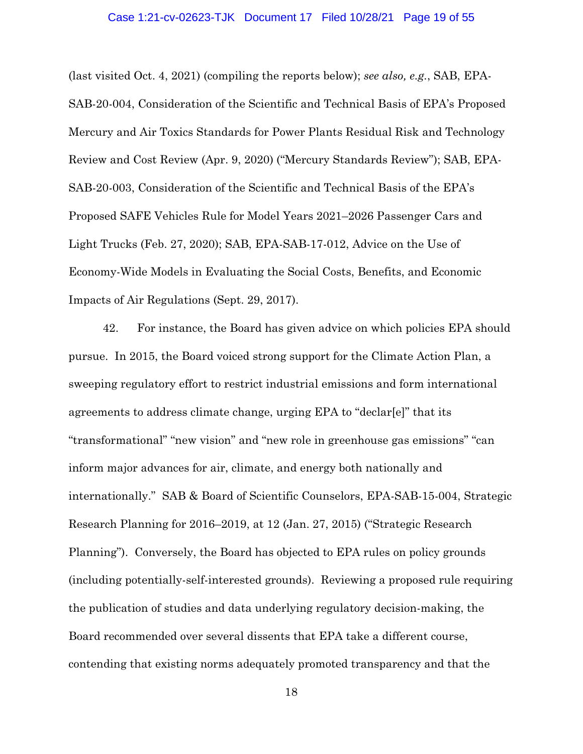#### Case 1:21-cv-02623-TJK Document 17 Filed 10/28/21 Page 19 of 55

(last visited Oct. 4, 2021) (compiling the reports below); *see also, e.g.*, SAB, EPA-SAB-20-004, Consideration of the Scientific and Technical Basis of EPA's Proposed Mercury and Air Toxics Standards for Power Plants Residual Risk and Technology Review and Cost Review (Apr. 9, 2020) ("Mercury Standards Review"); SAB, EPA-SAB-20-003, Consideration of the Scientific and Technical Basis of the EPA's Proposed SAFE Vehicles Rule for Model Years 2021–2026 Passenger Cars and Light Trucks (Feb. 27, 2020); SAB, EPA-SAB-17-012, Advice on the Use of Economy-Wide Models in Evaluating the Social Costs, Benefits, and Economic Impacts of Air Regulations (Sept. 29, 2017).

42. For instance, the Board has given advice on which policies EPA should pursue. In 2015, the Board voiced strong support for the Climate Action Plan, a sweeping regulatory effort to restrict industrial emissions and form international agreements to address climate change, urging EPA to "declar[e]" that its "transformational" "new vision" and "new role in greenhouse gas emissions" "can inform major advances for air, climate, and energy both nationally and internationally." SAB & Board of Scientific Counselors, EPA-SAB-15-004, Strategic Research Planning for 2016–2019, at 12 (Jan. 27, 2015) ("Strategic Research Planning"). Conversely, the Board has objected to EPA rules on policy grounds (including potentially-self-interested grounds). Reviewing a proposed rule requiring the publication of studies and data underlying regulatory decision-making, the Board recommended over several dissents that EPA take a different course, contending that existing norms adequately promoted transparency and that the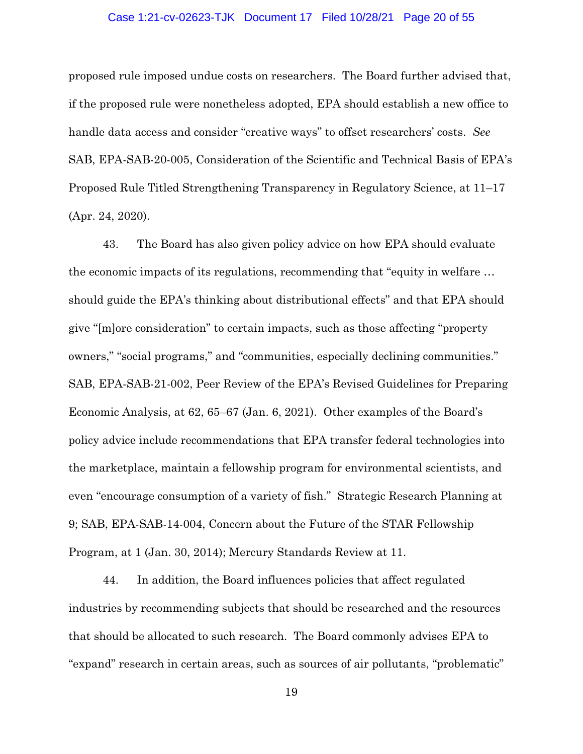#### Case 1:21-cv-02623-TJK Document 17 Filed 10/28/21 Page 20 of 55

proposed rule imposed undue costs on researchers. The Board further advised that, if the proposed rule were nonetheless adopted, EPA should establish a new office to handle data access and consider "creative ways" to offset researchers' costs. *See*  SAB, EPA-SAB-20-005, Consideration of the Scientific and Technical Basis of EPA's Proposed Rule Titled Strengthening Transparency in Regulatory Science, at 11–17 (Apr. 24, 2020).

43. The Board has also given policy advice on how EPA should evaluate the economic impacts of its regulations, recommending that "equity in welfare … should guide the EPA's thinking about distributional effects" and that EPA should give "[m]ore consideration" to certain impacts, such as those affecting "property owners," "social programs," and "communities, especially declining communities." SAB, EPA-SAB-21-002, Peer Review of the EPA's Revised Guidelines for Preparing Economic Analysis, at 62, 65–67 (Jan. 6, 2021). Other examples of the Board's policy advice include recommendations that EPA transfer federal technologies into the marketplace, maintain a fellowship program for environmental scientists, and even "encourage consumption of a variety of fish." Strategic Research Planning at 9; SAB, EPA-SAB-14-004, Concern about the Future of the STAR Fellowship Program, at 1 (Jan. 30, 2014); Mercury Standards Review at 11.

44. In addition, the Board influences policies that affect regulated industries by recommending subjects that should be researched and the resources that should be allocated to such research. The Board commonly advises EPA to "expand" research in certain areas, such as sources of air pollutants, "problematic"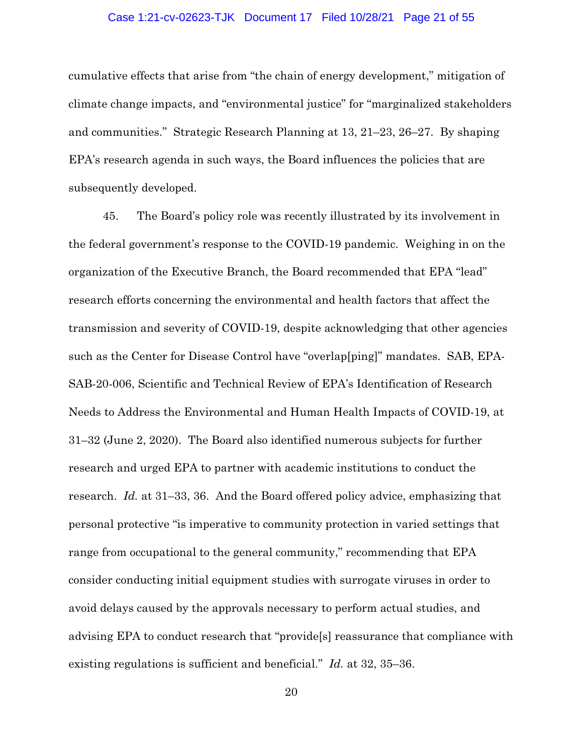#### Case 1:21-cv-02623-TJK Document 17 Filed 10/28/21 Page 21 of 55

cumulative effects that arise from "the chain of energy development," mitigation of climate change impacts, and "environmental justice" for "marginalized stakeholders and communities." Strategic Research Planning at 13, 21–23, 26–27. By shaping EPA's research agenda in such ways, the Board influences the policies that are subsequently developed.

45. The Board's policy role was recently illustrated by its involvement in the federal government's response to the COVID-19 pandemic. Weighing in on the organization of the Executive Branch, the Board recommended that EPA "lead" research efforts concerning the environmental and health factors that affect the transmission and severity of COVID-19, despite acknowledging that other agencies such as the Center for Disease Control have "overlap[ping]" mandates. SAB, EPA-SAB-20-006, Scientific and Technical Review of EPA's Identification of Research Needs to Address the Environmental and Human Health Impacts of COVID-19, at 31–32 (June 2, 2020). The Board also identified numerous subjects for further research and urged EPA to partner with academic institutions to conduct the research. *Id.* at 31–33, 36. And the Board offered policy advice, emphasizing that personal protective "is imperative to community protection in varied settings that range from occupational to the general community," recommending that EPA consider conducting initial equipment studies with surrogate viruses in order to avoid delays caused by the approvals necessary to perform actual studies, and advising EPA to conduct research that "provide[s] reassurance that compliance with existing regulations is sufficient and beneficial." *Id.* at 32, 35–36.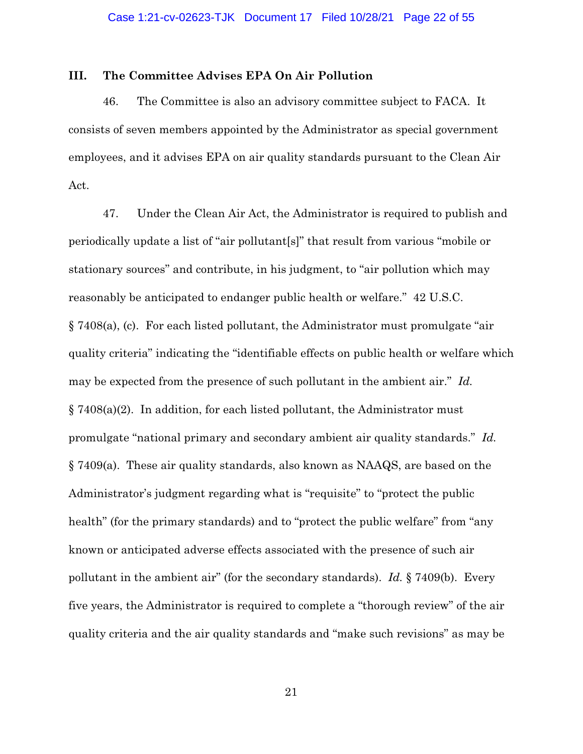### **III. The Committee Advises EPA On Air Pollution**

46. The Committee is also an advisory committee subject to FACA. It consists of seven members appointed by the Administrator as special government employees, and it advises EPA on air quality standards pursuant to the Clean Air Act.

47. Under the Clean Air Act, the Administrator is required to publish and periodically update a list of "air pollutant[s]" that result from various "mobile or stationary sources" and contribute, in his judgment, to "air pollution which may reasonably be anticipated to endanger public health or welfare." 42 U.S.C. § 7408(a), (c). For each listed pollutant, the Administrator must promulgate "air quality criteria" indicating the "identifiable effects on public health or welfare which may be expected from the presence of such pollutant in the ambient air." *Id.*  § 7408(a)(2). In addition, for each listed pollutant, the Administrator must promulgate "national primary and secondary ambient air quality standards." *Id.*  § 7409(a). These air quality standards, also known as NAAQS, are based on the Administrator's judgment regarding what is "requisite" to "protect the public health" (for the primary standards) and to "protect the public welfare" from "any known or anticipated adverse effects associated with the presence of such air pollutant in the ambient air" (for the secondary standards). *Id.* § 7409(b). Every five years, the Administrator is required to complete a "thorough review" of the air quality criteria and the air quality standards and "make such revisions" as may be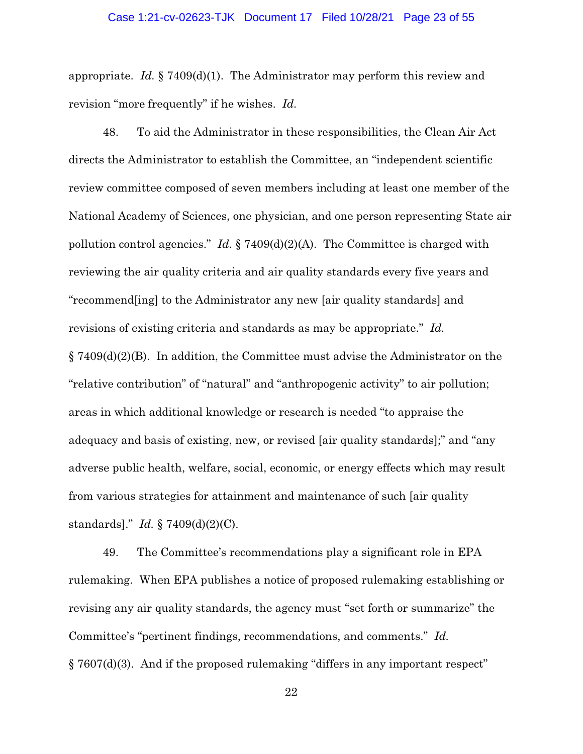#### Case 1:21-cv-02623-TJK Document 17 Filed 10/28/21 Page 23 of 55

appropriate. *Id.* § 7409(d)(1). The Administrator may perform this review and revision "more frequently" if he wishes. *Id.*

48. To aid the Administrator in these responsibilities, the Clean Air Act directs the Administrator to establish the Committee, an "independent scientific review committee composed of seven members including at least one member of the National Academy of Sciences, one physician, and one person representing State air pollution control agencies." *Id.* § 7409(d)(2)(A). The Committee is charged with reviewing the air quality criteria and air quality standards every five years and "recommend[ing] to the Administrator any new [air quality standards] and revisions of existing criteria and standards as may be appropriate." *Id.*   $\S 7409(d)(2)(B)$ . In addition, the Committee must advise the Administrator on the "relative contribution" of "natural" and "anthropogenic activity" to air pollution; areas in which additional knowledge or research is needed "to appraise the adequacy and basis of existing, new, or revised [air quality standards];" and "any adverse public health, welfare, social, economic, or energy effects which may result from various strategies for attainment and maintenance of such [air quality standards]." *Id.* § 7409(d)(2)(C).

49. The Committee's recommendations play a significant role in EPA rulemaking. When EPA publishes a notice of proposed rulemaking establishing or revising any air quality standards, the agency must "set forth or summarize" the Committee's "pertinent findings, recommendations, and comments." *Id.*  § 7607(d)(3). And if the proposed rulemaking "differs in any important respect"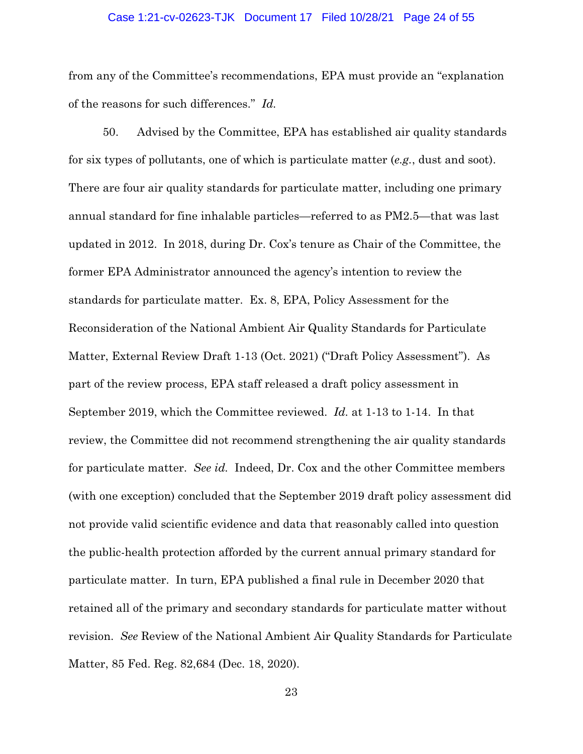#### Case 1:21-cv-02623-TJK Document 17 Filed 10/28/21 Page 24 of 55

from any of the Committee's recommendations, EPA must provide an "explanation of the reasons for such differences." *Id.* 

50. Advised by the Committee, EPA has established air quality standards for six types of pollutants, one of which is particulate matter (*e.g.*, dust and soot). There are four air quality standards for particulate matter, including one primary annual standard for fine inhalable particles—referred to as PM2.5—that was last updated in 2012. In 2018, during Dr. Cox's tenure as Chair of the Committee, the former EPA Administrator announced the agency's intention to review the standards for particulate matter. Ex. 8, EPA, Policy Assessment for the Reconsideration of the National Ambient Air Quality Standards for Particulate Matter, External Review Draft 1-13 (Oct. 2021) ("Draft Policy Assessment"). As part of the review process, EPA staff released a draft policy assessment in September 2019, which the Committee reviewed. *Id.* at 1-13 to 1-14. In that review, the Committee did not recommend strengthening the air quality standards for particulate matter. *See id.* Indeed, Dr. Cox and the other Committee members (with one exception) concluded that the September 2019 draft policy assessment did not provide valid scientific evidence and data that reasonably called into question the public-health protection afforded by the current annual primary standard for particulate matter. In turn, EPA published a final rule in December 2020 that retained all of the primary and secondary standards for particulate matter without revision. *See* Review of the National Ambient Air Quality Standards for Particulate Matter, 85 Fed. Reg. 82,684 (Dec. 18, 2020).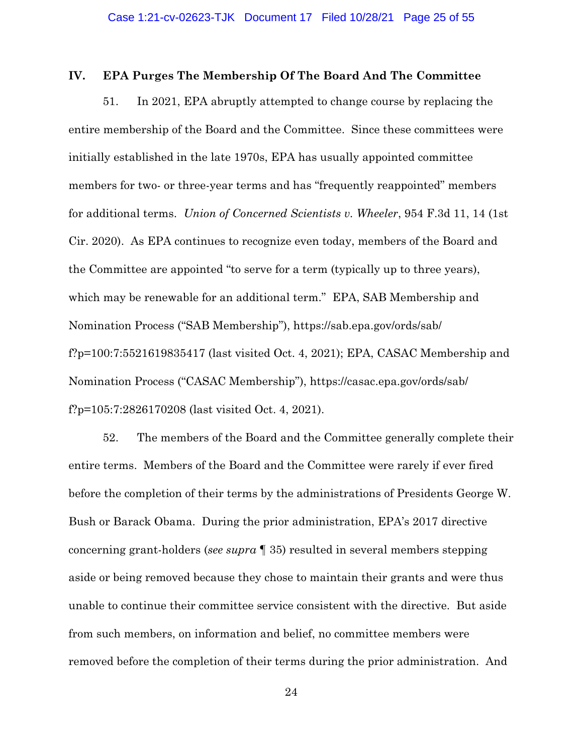### **IV. EPA Purges The Membership Of The Board And The Committee**

51. In 2021, EPA abruptly attempted to change course by replacing the entire membership of the Board and the Committee. Since these committees were initially established in the late 1970s, EPA has usually appointed committee members for two- or three-year terms and has "frequently reappointed" members for additional terms. *Union of Concerned Scientists v. Wheeler*, 954 F.3d 11, 14 (1st Cir. 2020). As EPA continues to recognize even today, members of the Board and the Committee are appointed "to serve for a term (typically up to three years), which may be renewable for an additional term." EPA, SAB Membership and Nomination Process ("SAB Membership"), https://sab.epa.gov/ords/sab/ f?p=100:7:5521619835417 (last visited Oct. 4, 2021); EPA, CASAC Membership and Nomination Process ("CASAC Membership"), https://casac.epa.gov/ords/sab/ f?p=105:7:2826170208 (last visited Oct. 4, 2021).

52. The members of the Board and the Committee generally complete their entire terms. Members of the Board and the Committee were rarely if ever fired before the completion of their terms by the administrations of Presidents George W. Bush or Barack Obama. During the prior administration, EPA's 2017 directive concerning grant-holders (*see supra* ¶ 35) resulted in several members stepping aside or being removed because they chose to maintain their grants and were thus unable to continue their committee service consistent with the directive. But aside from such members, on information and belief, no committee members were removed before the completion of their terms during the prior administration. And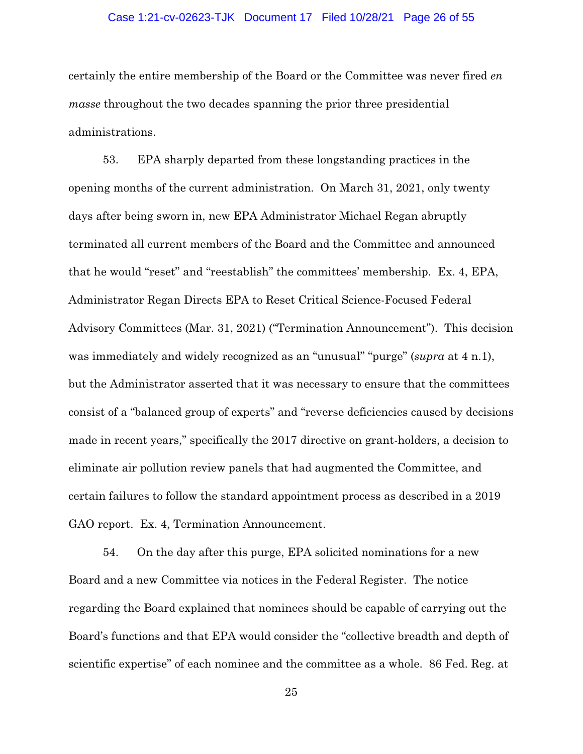#### Case 1:21-cv-02623-TJK Document 17 Filed 10/28/21 Page 26 of 55

certainly the entire membership of the Board or the Committee was never fired *en masse* throughout the two decades spanning the prior three presidential administrations.

53. EPA sharply departed from these longstanding practices in the opening months of the current administration. On March 31, 2021, only twenty days after being sworn in, new EPA Administrator Michael Regan abruptly terminated all current members of the Board and the Committee and announced that he would "reset" and "reestablish" the committees' membership. Ex. 4, EPA, Administrator Regan Directs EPA to Reset Critical Science-Focused Federal Advisory Committees (Mar. 31, 2021) ("Termination Announcement"). This decision was immediately and widely recognized as an "unusual" "purge" (*supra* at 4 n.1), but the Administrator asserted that it was necessary to ensure that the committees consist of a "balanced group of experts" and "reverse deficiencies caused by decisions made in recent years," specifically the 2017 directive on grant-holders, a decision to eliminate air pollution review panels that had augmented the Committee, and certain failures to follow the standard appointment process as described in a 2019 GAO report. Ex. 4, Termination Announcement.

54. On the day after this purge, EPA solicited nominations for a new Board and a new Committee via notices in the Federal Register. The notice regarding the Board explained that nominees should be capable of carrying out the Board's functions and that EPA would consider the "collective breadth and depth of scientific expertise" of each nominee and the committee as a whole. 86 Fed. Reg. at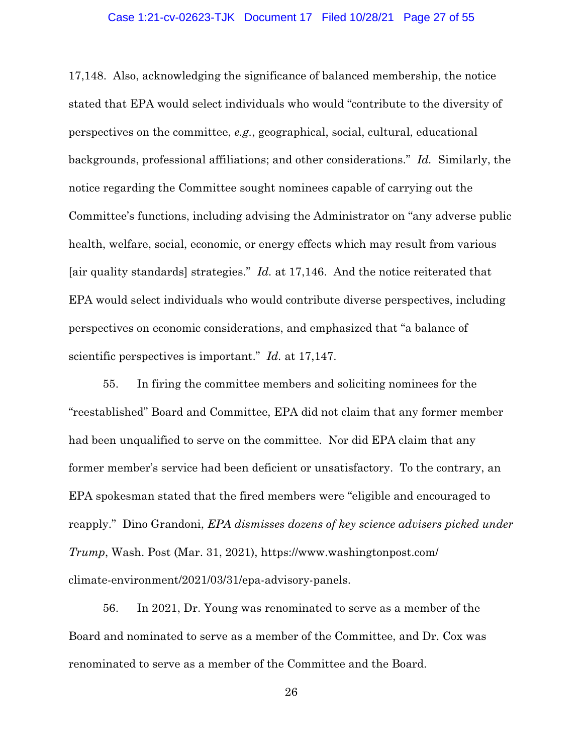#### Case 1:21-cv-02623-TJK Document 17 Filed 10/28/21 Page 27 of 55

17,148. Also, acknowledging the significance of balanced membership, the notice stated that EPA would select individuals who would "contribute to the diversity of perspectives on the committee, *e.g.*, geographical, social, cultural, educational backgrounds, professional affiliations; and other considerations." *Id.* Similarly, the notice regarding the Committee sought nominees capable of carrying out the Committee's functions, including advising the Administrator on "any adverse public health, welfare, social, economic, or energy effects which may result from various [air quality standards] strategies." *Id.* at 17,146. And the notice reiterated that EPA would select individuals who would contribute diverse perspectives, including perspectives on economic considerations, and emphasized that "a balance of scientific perspectives is important." *Id.* at 17,147.

55. In firing the committee members and soliciting nominees for the "reestablished" Board and Committee, EPA did not claim that any former member had been unqualified to serve on the committee. Nor did EPA claim that any former member's service had been deficient or unsatisfactory. To the contrary, an EPA spokesman stated that the fired members were "eligible and encouraged to reapply." Dino Grandoni, *EPA dismisses dozens of key science advisers picked under Trump*, Wash. Post (Mar. 31, 2021), https://www.washingtonpost.com/ climate-environment/2021/03/31/epa-advisory-panels.

56. In 2021, Dr. Young was renominated to serve as a member of the Board and nominated to serve as a member of the Committee, and Dr. Cox was renominated to serve as a member of the Committee and the Board.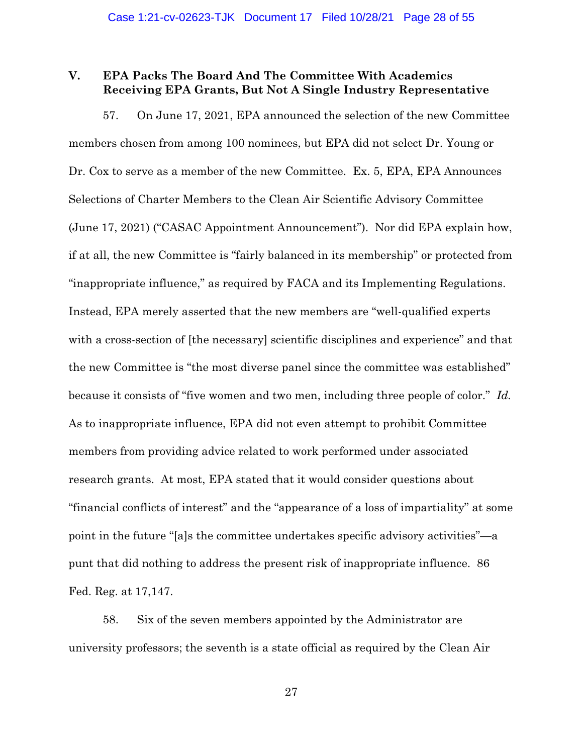## **V. EPA Packs The Board And The Committee With Academics Receiving EPA Grants, But Not A Single Industry Representative**

57. On June 17, 2021, EPA announced the selection of the new Committee members chosen from among 100 nominees, but EPA did not select Dr. Young or Dr. Cox to serve as a member of the new Committee. Ex. 5, EPA, EPA Announces Selections of Charter Members to the Clean Air Scientific Advisory Committee (June 17, 2021) ("CASAC Appointment Announcement"). Nor did EPA explain how, if at all, the new Committee is "fairly balanced in its membership" or protected from "inappropriate influence," as required by FACA and its Implementing Regulations. Instead, EPA merely asserted that the new members are "well-qualified experts with a cross-section of [the necessary] scientific disciplines and experience" and that the new Committee is "the most diverse panel since the committee was established" because it consists of "five women and two men, including three people of color." *Id.*  As to inappropriate influence, EPA did not even attempt to prohibit Committee members from providing advice related to work performed under associated research grants. At most, EPA stated that it would consider questions about "financial conflicts of interest" and the "appearance of a loss of impartiality" at some point in the future "[a]s the committee undertakes specific advisory activities"—a punt that did nothing to address the present risk of inappropriate influence. 86 Fed. Reg. at 17,147.

58. Six of the seven members appointed by the Administrator are university professors; the seventh is a state official as required by the Clean Air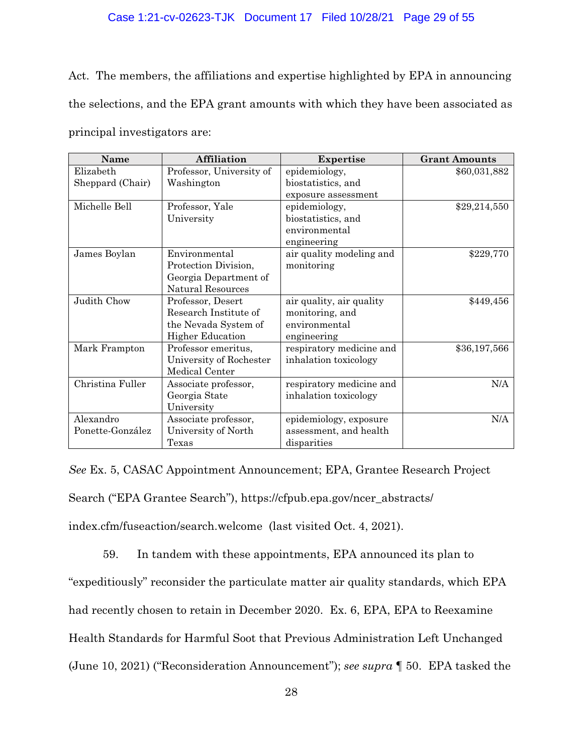### Case 1:21-cv-02623-TJK Document 17 Filed 10/28/21 Page 29 of 55

Act. The members, the affiliations and expertise highlighted by EPA in announcing the selections, and the EPA grant amounts with which they have been associated as principal investigators are:

| Name             | <b>Affiliation</b>       | <b>Expertise</b>         | <b>Grant Amounts</b> |
|------------------|--------------------------|--------------------------|----------------------|
| Elizabeth        | Professor, University of | epidemiology,            | \$60,031,882         |
| Sheppard (Chair) | Washington               | biostatistics, and       |                      |
|                  |                          | exposure assessment      |                      |
| Michelle Bell    | Professor, Yale          | epidemiology,            | \$29,214,550         |
|                  | University               | biostatistics, and       |                      |
|                  |                          | environmental            |                      |
|                  |                          | engineering              |                      |
| James Boylan     | Environmental            | air quality modeling and | \$229,770            |
|                  | Protection Division,     | monitoring               |                      |
|                  | Georgia Department of    |                          |                      |
|                  | <b>Natural Resources</b> |                          |                      |
| Judith Chow      | Professor, Desert        | air quality, air quality | \$449,456            |
|                  | Research Institute of    | monitoring, and          |                      |
|                  | the Nevada System of     | environmental            |                      |
|                  | <b>Higher Education</b>  | engineering              |                      |
| Mark Frampton    | Professor emeritus,      | respiratory medicine and | \$36,197,566         |
|                  | University of Rochester  | inhalation toxicology    |                      |
|                  | Medical Center           |                          |                      |
| Christina Fuller | Associate professor,     | respiratory medicine and | N/A                  |
|                  | Georgia State            | inhalation toxicology    |                      |
|                  | University               |                          |                      |
| Alexandro        | Associate professor,     | epidemiology, exposure   | N/A                  |
| Ponette-González | University of North      | assessment, and health   |                      |
|                  | Texas                    | disparities              |                      |

*See* Ex. 5, CASAC Appointment Announcement; EPA, Grantee Research Project Search ("EPA Grantee Search"), https://cfpub.epa.gov/ncer\_abstracts/ index.cfm/fuseaction/search.welcome (last visited Oct. 4, 2021).

59. In tandem with these appointments, EPA announced its plan to "expeditiously" reconsider the particulate matter air quality standards, which EPA had recently chosen to retain in December 2020. Ex. 6, EPA, EPA to Reexamine Health Standards for Harmful Soot that Previous Administration Left Unchanged (June 10, 2021) ("Reconsideration Announcement"); *see supra* ¶ 50. EPA tasked the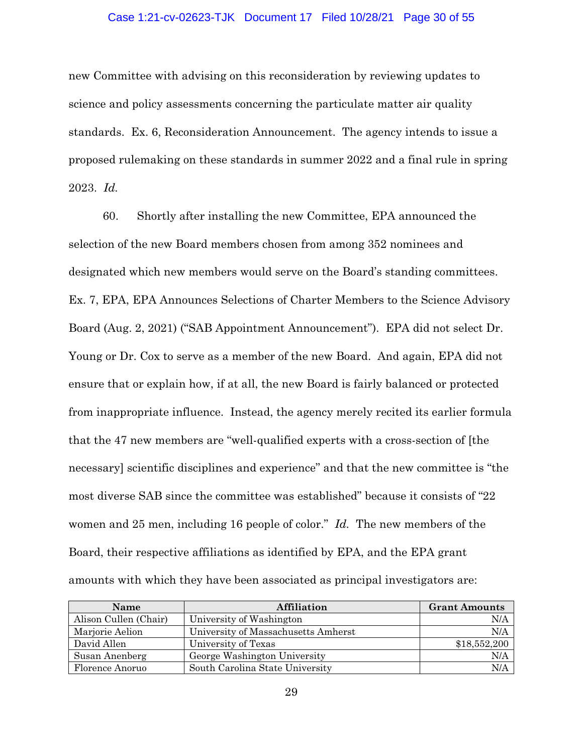#### Case 1:21-cv-02623-TJK Document 17 Filed 10/28/21 Page 30 of 55

new Committee with advising on this reconsideration by reviewing updates to science and policy assessments concerning the particulate matter air quality standards. Ex. 6, Reconsideration Announcement. The agency intends to issue a proposed rulemaking on these standards in summer 2022 and a final rule in spring 2023. *Id.*

60. Shortly after installing the new Committee, EPA announced the selection of the new Board members chosen from among 352 nominees and designated which new members would serve on the Board's standing committees. Ex. 7, EPA, EPA Announces Selections of Charter Members to the Science Advisory Board (Aug. 2, 2021) ("SAB Appointment Announcement"). EPA did not select Dr. Young or Dr. Cox to serve as a member of the new Board. And again, EPA did not ensure that or explain how, if at all, the new Board is fairly balanced or protected from inappropriate influence. Instead, the agency merely recited its earlier formula that the 47 new members are "well-qualified experts with a cross-section of [the necessary] scientific disciplines and experience" and that the new committee is "the most diverse SAB since the committee was established" because it consists of "22 women and 25 men, including 16 people of color." *Id.* The new members of the Board, their respective affiliations as identified by EPA, and the EPA grant amounts with which they have been associated as principal investigators are:

| <b>Name</b>           | Affiliation                         | <b>Grant Amounts</b> |
|-----------------------|-------------------------------------|----------------------|
| Alison Cullen (Chair) | University of Washington            | N/A                  |
| Marjorie Aelion       | University of Massachusetts Amherst | N/A                  |
| David Allen           | University of Texas                 | \$18,552,200         |
| Susan Anenberg        | George Washington University        | N/A                  |
| Florence Anoruo       | South Carolina State University     | N/A                  |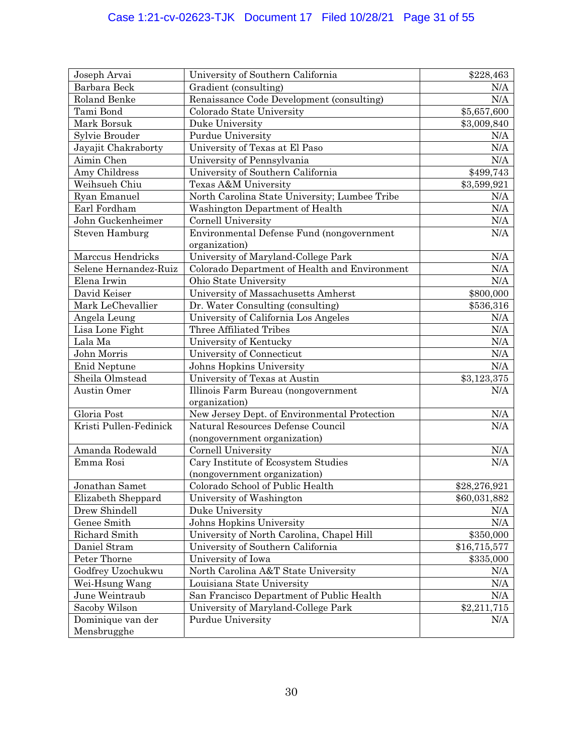| Joseph Arvai                     | University of Southern California             | \$228,463    |
|----------------------------------|-----------------------------------------------|--------------|
| Barbara Beck                     | Gradient (consulting)                         | N/A          |
| Roland Benke                     | Renaissance Code Development (consulting)     | N/A          |
| Tami Bond                        | Colorado State University                     | \$5,657,600  |
| Mark Borsuk                      | Duke University                               | \$3,009,840  |
| Sylvie Brouder                   | Purdue University                             | N/A          |
| Jayajit Chakraborty              | University of Texas at El Paso                | $\rm N/A$    |
| Aimin Chen                       | University of Pennsylvania                    | N/A          |
| Amy Childress                    | University of Southern California             | \$499,743    |
| Weihsueh Chiu                    | Texas A&M University                          | \$3,599,921  |
| Ryan Emanuel                     | North Carolina State University; Lumbee Tribe | N/A          |
| Earl Fordham                     | Washington Department of Health               | $\rm N/A$    |
| John Guckenheimer                | Cornell University                            | $\rm N/A$    |
| <b>Steven Hamburg</b>            | Environmental Defense Fund (nongovernment     | N/A          |
|                                  | organization)                                 |              |
| Marccus Hendricks                | University of Maryland-College Park           | N/A          |
| Selene Hernandez-Ruiz            | Colorado Department of Health and Environment | N/A          |
| Elena Irwin                      | Ohio State University                         | N/A          |
| David Keiser                     | University of Massachusetts Amherst           | \$800,000    |
| Mark LeChevallier                | Dr. Water Consulting (consulting)             | \$536,316    |
| Angela Leung                     | University of California Los Angeles          | $\rm N/A$    |
| Lisa Lone Fight                  | Three Affiliated Tribes                       | N/A          |
| Lala Ma                          | University of Kentucky                        | N/A          |
| John Morris                      | University of Connecticut                     | N/A          |
| Enid Neptune                     | Johns Hopkins University                      | N/A          |
| Sheila Olmstead                  | University of Texas at Austin                 | \$3,123,375  |
| Austin Omer                      | Illinois Farm Bureau (nongovernment           | N/A          |
|                                  | organization)                                 |              |
| Gloria Post                      | New Jersey Dept. of Environmental Protection  | N/A          |
| Kristi Pullen-Fedinick           | Natural Resources Defense Council             | N/A          |
|                                  | (nongovernment organization)                  |              |
| Amanda Rodewald                  | Cornell University                            | $\rm N/A$    |
| Emma Rosi                        | Cary Institute of Ecosystem Studies           | N/A          |
|                                  | (nongovernment organization)                  |              |
| Jonathan Samet                   | Colorado School of Public Health              | \$28,276,921 |
| Elizabeth Sheppard               | University of Washington                      | \$60,031,882 |
| Drew Shindell                    | Duke University                               | N/A          |
| Genee Smith                      | Johns Hopkins University                      | N/A          |
| Richard Smith                    | University of North Carolina, Chapel Hill     | \$350,000    |
| Daniel Stram                     | University of Southern California             | \$16,715,577 |
| Peter Thorne                     | University of Iowa                            | \$335,000    |
| Godfrey Uzochukwu                | North Carolina A&T State University           | N/A          |
| Wei-Hsung Wang                   | Louisiana State University                    | N/A          |
| June Weintraub                   | San Francisco Department of Public Health     | N/A          |
| Sacoby Wilson                    | University of Maryland-College Park           | \$2,211,715  |
| Dominique van der<br>Mensbrugghe | Purdue University                             | $\rm N/A$    |
|                                  |                                               |              |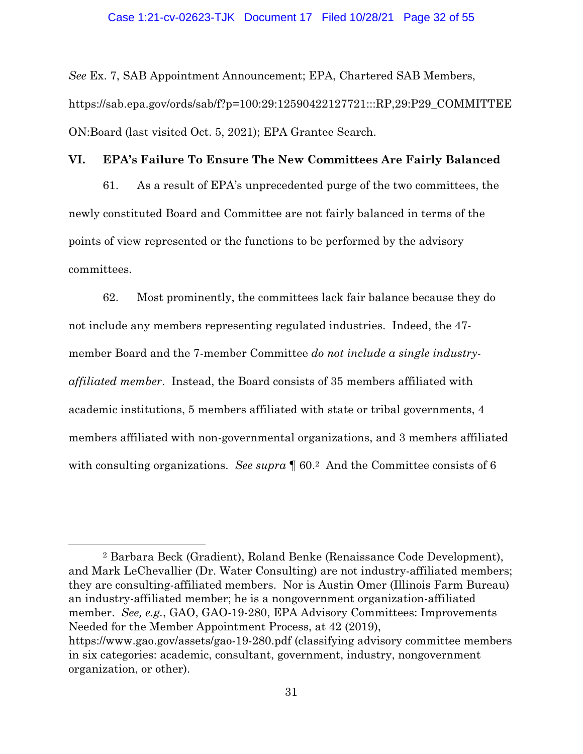*See* Ex. 7, SAB Appointment Announcement; EPA, Chartered SAB Members, https://sab.epa.gov/ords/sab/f?p=100:29:12590422127721:::RP,29:P29\_COMMITTEE ON:Board (last visited Oct. 5, 2021); EPA Grantee Search.

### **VI. EPA's Failure To Ensure The New Committees Are Fairly Balanced**

61. As a result of EPA's unprecedented purge of the two committees, the newly constituted Board and Committee are not fairly balanced in terms of the points of view represented or the functions to be performed by the advisory committees.

62. Most prominently, the committees lack fair balance because they do not include any members representing regulated industries. Indeed, the 47 member Board and the 7-member Committee *do not include a single industryaffiliated member*. Instead, the Board consists of 35 members affiliated with academic institutions, 5 members affiliated with state or tribal governments, 4 members affiliated with non-governmental organizations, and 3 members affiliated with consulting organizations. *See supra*  $\llbracket 60.2 \mod 1$  and the Committee consists of 6

2 Barbara Beck (Gradient), Roland Benke (Renaissance Code Development), and Mark LeChevallier (Dr. Water Consulting) are not industry-affiliated members; they are consulting-affiliated members. Nor is Austin Omer (Illinois Farm Bureau) an industry-affiliated member; he is a nongovernment organization-affiliated member. *See, e.g.*, GAO, GAO-19-280, EPA Advisory Committees: Improvements Needed for the Member Appointment Process, at 42 (2019), https://www.gao.gov/assets/gao-19-280.pdf (classifying advisory committee members in six categories: academic, consultant, government, industry, nongovernment organization, or other).

 $\overline{a}$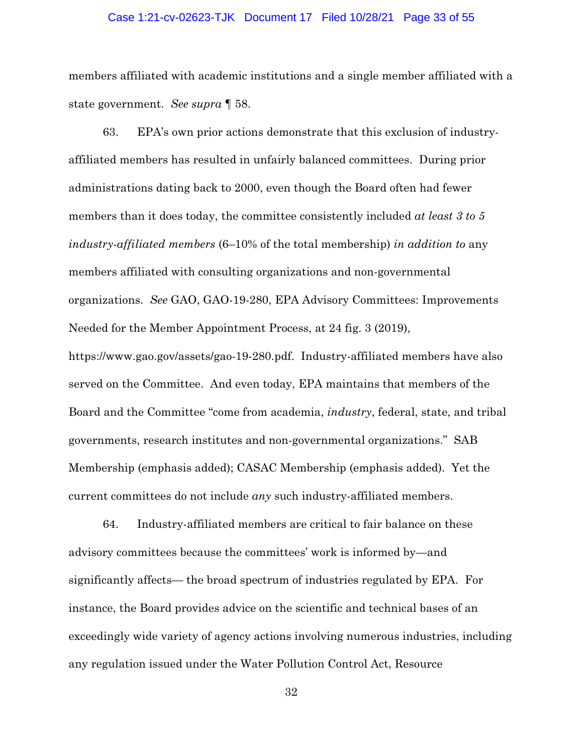#### Case 1:21-cv-02623-TJK Document 17 Filed 10/28/21 Page 33 of 55

members affiliated with academic institutions and a single member affiliated with a state government. *See supra* ¶ 58.

63. EPA's own prior actions demonstrate that this exclusion of industryaffiliated members has resulted in unfairly balanced committees. During prior administrations dating back to 2000, even though the Board often had fewer members than it does today, the committee consistently included *at least 3 to 5 industry-affiliated members* (6–10% of the total membership) *in addition to* any members affiliated with consulting organizations and non-governmental organizations. *See* GAO, GAO-19-280, EPA Advisory Committees: Improvements Needed for the Member Appointment Process, at 24 fig. 3 (2019), https://www.gao.gov/assets/gao-19-280.pdf. Industry-affiliated members have also served on the Committee. And even today, EPA maintains that members of the Board and the Committee "come from academia, *industry*, federal, state, and tribal governments, research institutes and non-governmental organizations." SAB

Membership (emphasis added); CASAC Membership (emphasis added). Yet the current committees do not include *any* such industry-affiliated members.

64. Industry-affiliated members are critical to fair balance on these advisory committees because the committees' work is informed by—and significantly affects— the broad spectrum of industries regulated by EPA. For instance, the Board provides advice on the scientific and technical bases of an exceedingly wide variety of agency actions involving numerous industries, including any regulation issued under the Water Pollution Control Act, Resource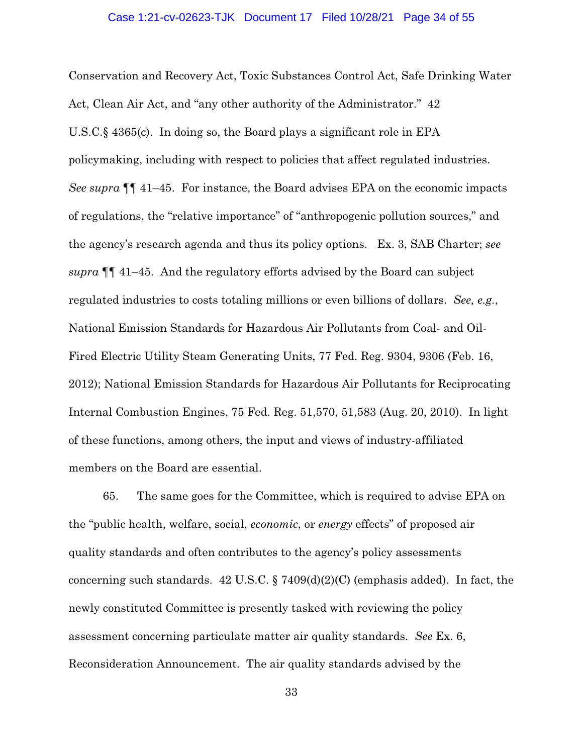Conservation and Recovery Act, Toxic Substances Control Act, Safe Drinking Water Act, Clean Air Act, and "any other authority of the Administrator." 42 U.S.C.§ 4365(c). In doing so, the Board plays a significant role in EPA policymaking, including with respect to policies that affect regulated industries. *See supra* ¶¶ 41–45. For instance, the Board advises EPA on the economic impacts of regulations, the "relative importance" of "anthropogenic pollution sources," and the agency's research agenda and thus its policy options. Ex. 3, SAB Charter; *see supra* ¶¶ 41–45. And the regulatory efforts advised by the Board can subject regulated industries to costs totaling millions or even billions of dollars. *See, e.g.*, National Emission Standards for Hazardous Air Pollutants from Coal- and Oil-Fired Electric Utility Steam Generating Units, 77 Fed. Reg. 9304, 9306 (Feb. 16, 2012); National Emission Standards for Hazardous Air Pollutants for Reciprocating Internal Combustion Engines, 75 Fed. Reg. 51,570, 51,583 (Aug. 20, 2010). In light of these functions, among others, the input and views of industry-affiliated members on the Board are essential.

65. The same goes for the Committee, which is required to advise EPA on the "public health, welfare, social, *economic*, or *energy* effects" of proposed air quality standards and often contributes to the agency's policy assessments concerning such standards. 42 U.S.C.  $\S 7409(d)(2)(C)$  (emphasis added). In fact, the newly constituted Committee is presently tasked with reviewing the policy assessment concerning particulate matter air quality standards. *See* Ex. 6, Reconsideration Announcement. The air quality standards advised by the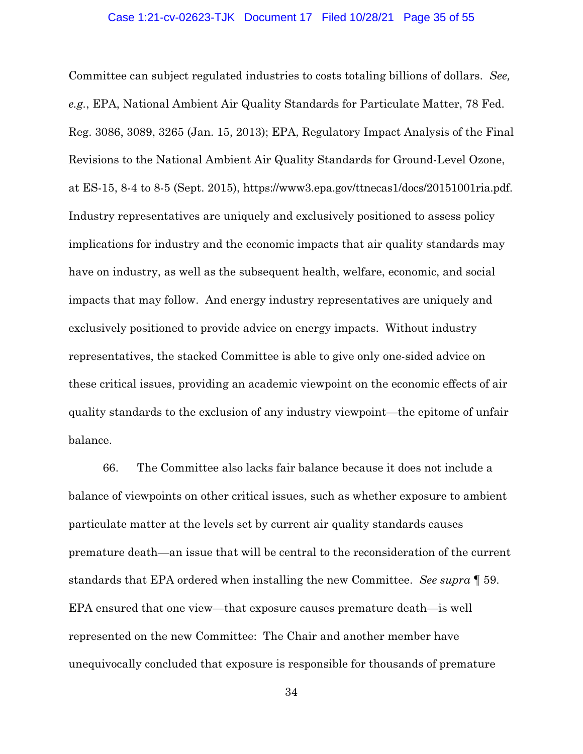#### Case 1:21-cv-02623-TJK Document 17 Filed 10/28/21 Page 35 of 55

Committee can subject regulated industries to costs totaling billions of dollars. *See, e.g.*, EPA, National Ambient Air Quality Standards for Particulate Matter, 78 Fed. Reg. 3086, 3089, 3265 (Jan. 15, 2013); EPA, Regulatory Impact Analysis of the Final Revisions to the National Ambient Air Quality Standards for Ground-Level Ozone, at ES-15, 8-4 to 8-5 (Sept. 2015), https://www3.epa.gov/ttnecas1/docs/20151001ria.pdf. Industry representatives are uniquely and exclusively positioned to assess policy implications for industry and the economic impacts that air quality standards may have on industry, as well as the subsequent health, welfare, economic, and social impacts that may follow. And energy industry representatives are uniquely and exclusively positioned to provide advice on energy impacts. Without industry representatives, the stacked Committee is able to give only one-sided advice on these critical issues, providing an academic viewpoint on the economic effects of air quality standards to the exclusion of any industry viewpoint—the epitome of unfair balance.

66. The Committee also lacks fair balance because it does not include a balance of viewpoints on other critical issues, such as whether exposure to ambient particulate matter at the levels set by current air quality standards causes premature death—an issue that will be central to the reconsideration of the current standards that EPA ordered when installing the new Committee. *See supra* ¶ 59. EPA ensured that one view—that exposure causes premature death—is well represented on the new Committee: The Chair and another member have unequivocally concluded that exposure is responsible for thousands of premature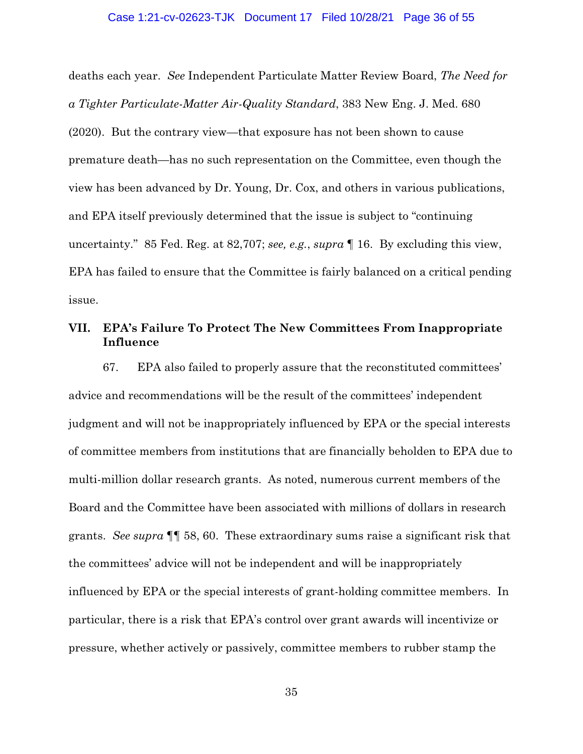#### Case 1:21-cv-02623-TJK Document 17 Filed 10/28/21 Page 36 of 55

deaths each year. *See* Independent Particulate Matter Review Board, *The Need for a Tighter Particulate-Matter Air-Quality Standard*, 383 New Eng. J. Med. 680 (2020). But the contrary view—that exposure has not been shown to cause premature death—has no such representation on the Committee, even though the view has been advanced by Dr. Young, Dr. Cox, and others in various publications, and EPA itself previously determined that the issue is subject to "continuing uncertainty." 85 Fed. Reg. at 82,707; *see, e.g.*, *supra* ¶ 16. By excluding this view, EPA has failed to ensure that the Committee is fairly balanced on a critical pending issue.

# **VII. EPA's Failure To Protect The New Committees From Inappropriate Influence**

67. EPA also failed to properly assure that the reconstituted committees' advice and recommendations will be the result of the committees' independent judgment and will not be inappropriately influenced by EPA or the special interests of committee members from institutions that are financially beholden to EPA due to multi-million dollar research grants. As noted, numerous current members of the Board and the Committee have been associated with millions of dollars in research grants. *See supra* ¶¶ 58, 60. These extraordinary sums raise a significant risk that the committees' advice will not be independent and will be inappropriately influenced by EPA or the special interests of grant-holding committee members. In particular, there is a risk that EPA's control over grant awards will incentivize or pressure, whether actively or passively, committee members to rubber stamp the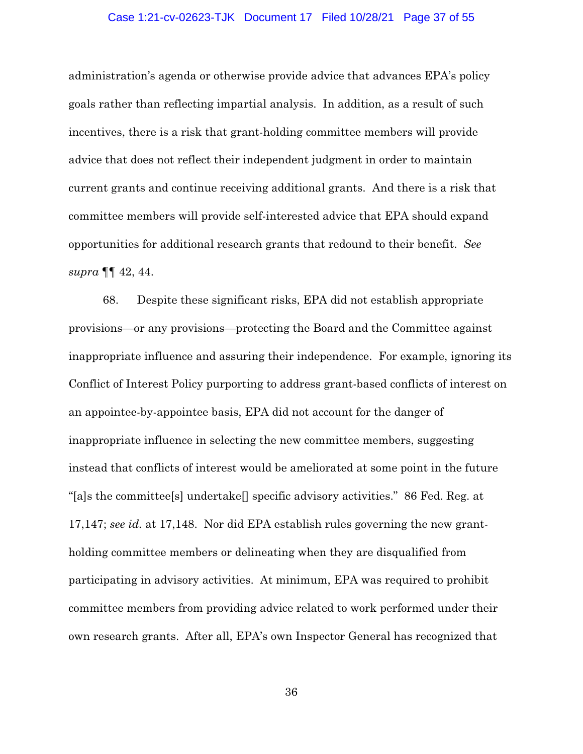#### Case 1:21-cv-02623-TJK Document 17 Filed 10/28/21 Page 37 of 55

administration's agenda or otherwise provide advice that advances EPA's policy goals rather than reflecting impartial analysis. In addition, as a result of such incentives, there is a risk that grant-holding committee members will provide advice that does not reflect their independent judgment in order to maintain current grants and continue receiving additional grants. And there is a risk that committee members will provide self-interested advice that EPA should expand opportunities for additional research grants that redound to their benefit. *See supra* ¶¶ 42, 44.

68. Despite these significant risks, EPA did not establish appropriate provisions—or any provisions—protecting the Board and the Committee against inappropriate influence and assuring their independence. For example, ignoring its Conflict of Interest Policy purporting to address grant-based conflicts of interest on an appointee-by-appointee basis, EPA did not account for the danger of inappropriate influence in selecting the new committee members, suggesting instead that conflicts of interest would be ameliorated at some point in the future "[a]s the committee[s] undertake[] specific advisory activities." 86 Fed. Reg. at 17,147; *see id.* at 17,148. Nor did EPA establish rules governing the new grantholding committee members or delineating when they are disqualified from participating in advisory activities. At minimum, EPA was required to prohibit committee members from providing advice related to work performed under their own research grants. After all, EPA's own Inspector General has recognized that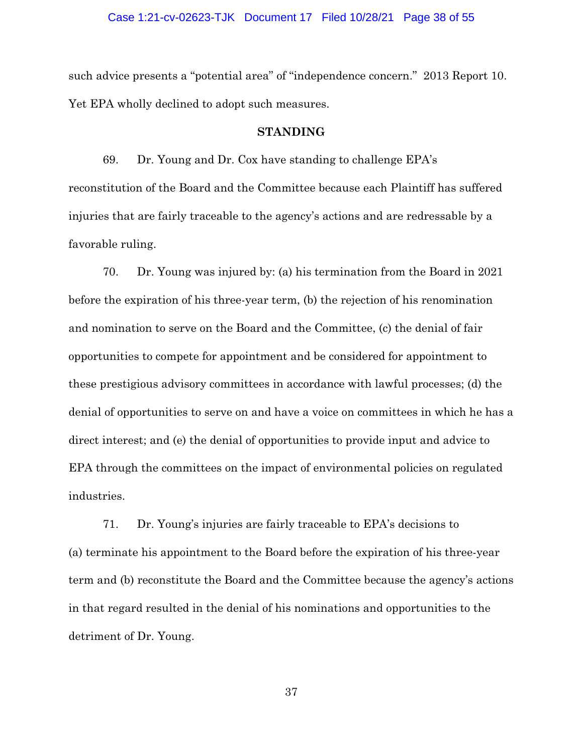#### Case 1:21-cv-02623-TJK Document 17 Filed 10/28/21 Page 38 of 55

such advice presents a "potential area" of "independence concern." 2013 Report 10. Yet EPA wholly declined to adopt such measures.

### **STANDING**

69. Dr. Young and Dr. Cox have standing to challenge EPA's reconstitution of the Board and the Committee because each Plaintiff has suffered injuries that are fairly traceable to the agency's actions and are redressable by a favorable ruling.

70. Dr. Young was injured by: (a) his termination from the Board in 2021 before the expiration of his three-year term, (b) the rejection of his renomination and nomination to serve on the Board and the Committee, (c) the denial of fair opportunities to compete for appointment and be considered for appointment to these prestigious advisory committees in accordance with lawful processes; (d) the denial of opportunities to serve on and have a voice on committees in which he has a direct interest; and (e) the denial of opportunities to provide input and advice to EPA through the committees on the impact of environmental policies on regulated industries.

71. Dr. Young's injuries are fairly traceable to EPA's decisions to (a) terminate his appointment to the Board before the expiration of his three-year term and (b) reconstitute the Board and the Committee because the agency's actions in that regard resulted in the denial of his nominations and opportunities to the detriment of Dr. Young.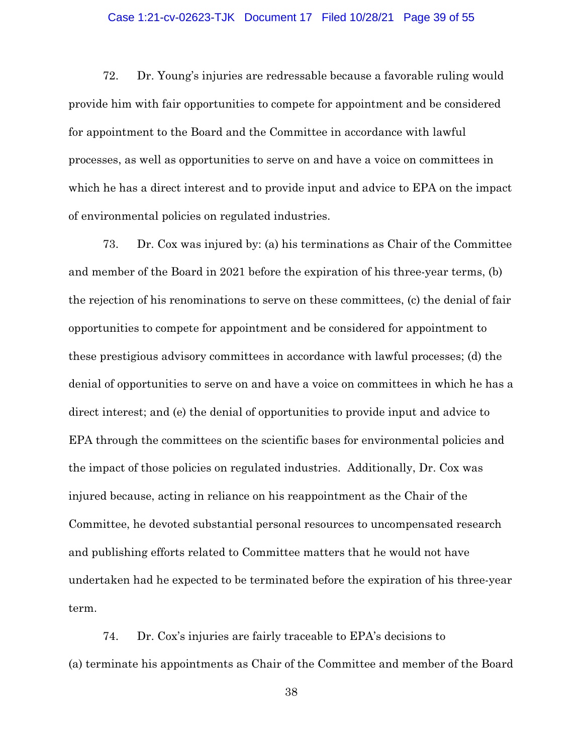#### Case 1:21-cv-02623-TJK Document 17 Filed 10/28/21 Page 39 of 55

72. Dr. Young's injuries are redressable because a favorable ruling would provide him with fair opportunities to compete for appointment and be considered for appointment to the Board and the Committee in accordance with lawful processes, as well as opportunities to serve on and have a voice on committees in which he has a direct interest and to provide input and advice to EPA on the impact of environmental policies on regulated industries.

73. Dr. Cox was injured by: (a) his terminations as Chair of the Committee and member of the Board in 2021 before the expiration of his three-year terms, (b) the rejection of his renominations to serve on these committees, (c) the denial of fair opportunities to compete for appointment and be considered for appointment to these prestigious advisory committees in accordance with lawful processes; (d) the denial of opportunities to serve on and have a voice on committees in which he has a direct interest; and (e) the denial of opportunities to provide input and advice to EPA through the committees on the scientific bases for environmental policies and the impact of those policies on regulated industries. Additionally, Dr. Cox was injured because, acting in reliance on his reappointment as the Chair of the Committee, he devoted substantial personal resources to uncompensated research and publishing efforts related to Committee matters that he would not have undertaken had he expected to be terminated before the expiration of his three-year term.

74. Dr. Cox's injuries are fairly traceable to EPA's decisions to (a) terminate his appointments as Chair of the Committee and member of the Board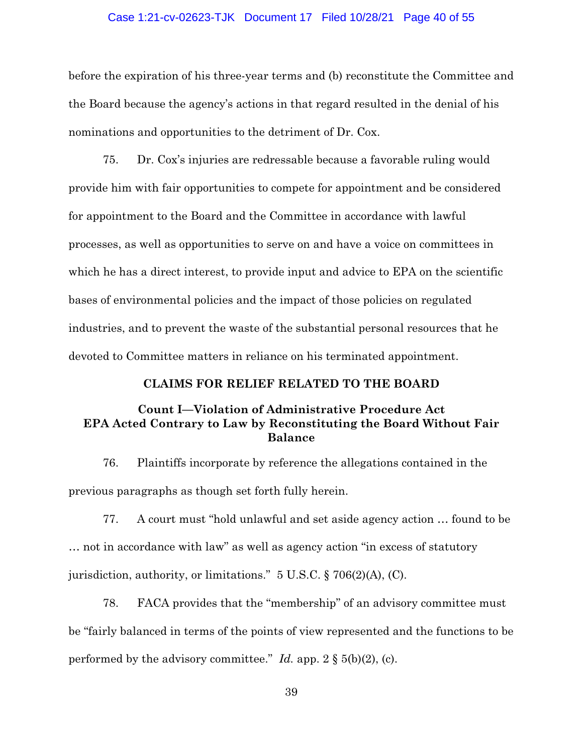#### Case 1:21-cv-02623-TJK Document 17 Filed 10/28/21 Page 40 of 55

before the expiration of his three-year terms and (b) reconstitute the Committee and the Board because the agency's actions in that regard resulted in the denial of his nominations and opportunities to the detriment of Dr. Cox.

75. Dr. Cox's injuries are redressable because a favorable ruling would provide him with fair opportunities to compete for appointment and be considered for appointment to the Board and the Committee in accordance with lawful processes, as well as opportunities to serve on and have a voice on committees in which he has a direct interest, to provide input and advice to EPA on the scientific bases of environmental policies and the impact of those policies on regulated industries, and to prevent the waste of the substantial personal resources that he devoted to Committee matters in reliance on his terminated appointment.

## **CLAIMS FOR RELIEF RELATED TO THE BOARD**

# **Count I—Violation of Administrative Procedure Act EPA Acted Contrary to Law by Reconstituting the Board Without Fair Balance**

76. Plaintiffs incorporate by reference the allegations contained in the previous paragraphs as though set forth fully herein.

77. A court must "hold unlawful and set aside agency action … found to be … not in accordance with law" as well as agency action "in excess of statutory jurisdiction, authority, or limitations." 5 U.S.C. § 706(2)(A), (C).

78. FACA provides that the "membership" of an advisory committee must be "fairly balanced in terms of the points of view represented and the functions to be performed by the advisory committee." *Id.* app.  $2 \S(5(b)(2))$ , (c).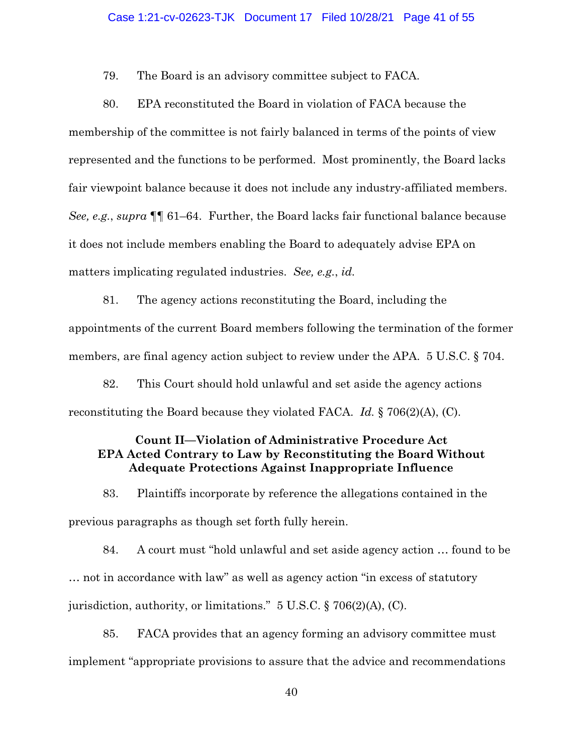#### Case 1:21-cv-02623-TJK Document 17 Filed 10/28/21 Page 41 of 55

79. The Board is an advisory committee subject to FACA.

80. EPA reconstituted the Board in violation of FACA because the membership of the committee is not fairly balanced in terms of the points of view represented and the functions to be performed. Most prominently, the Board lacks fair viewpoint balance because it does not include any industry-affiliated members. *See, e.g.*, *supra* ¶¶ 61–64. Further, the Board lacks fair functional balance because it does not include members enabling the Board to adequately advise EPA on matters implicating regulated industries. *See, e.g.*, *id.*

81. The agency actions reconstituting the Board, including the appointments of the current Board members following the termination of the former members, are final agency action subject to review under the APA. 5 U.S.C. § 704.

82. This Court should hold unlawful and set aside the agency actions reconstituting the Board because they violated FACA. *Id.* § 706(2)(A), (C).

# **Count II—Violation of Administrative Procedure Act EPA Acted Contrary to Law by Reconstituting the Board Without Adequate Protections Against Inappropriate Influence**

83. Plaintiffs incorporate by reference the allegations contained in the previous paragraphs as though set forth fully herein.

84. A court must "hold unlawful and set aside agency action … found to be … not in accordance with law" as well as agency action "in excess of statutory jurisdiction, authority, or limitations." 5 U.S.C. § 706(2)(A), (C).

85. FACA provides that an agency forming an advisory committee must implement "appropriate provisions to assure that the advice and recommendations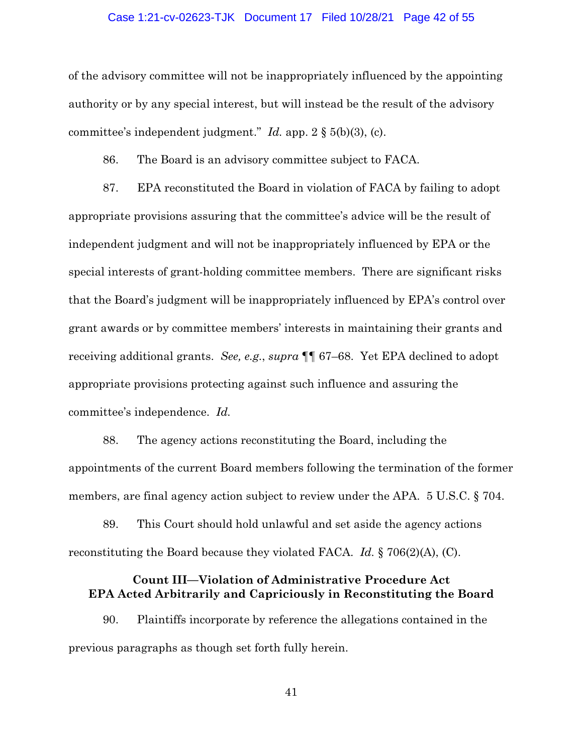#### Case 1:21-cv-02623-TJK Document 17 Filed 10/28/21 Page 42 of 55

of the advisory committee will not be inappropriately influenced by the appointing authority or by any special interest, but will instead be the result of the advisory committee's independent judgment." *Id.* app. 2 § 5(b)(3), (c).

86. The Board is an advisory committee subject to FACA.

87. EPA reconstituted the Board in violation of FACA by failing to adopt appropriate provisions assuring that the committee's advice will be the result of independent judgment and will not be inappropriately influenced by EPA or the special interests of grant-holding committee members. There are significant risks that the Board's judgment will be inappropriately influenced by EPA's control over grant awards or by committee members' interests in maintaining their grants and receiving additional grants. *See, e.g.*, *supra* ¶¶ 67–68. Yet EPA declined to adopt appropriate provisions protecting against such influence and assuring the committee's independence. *Id.*

88. The agency actions reconstituting the Board, including the appointments of the current Board members following the termination of the former members, are final agency action subject to review under the APA. 5 U.S.C. § 704.

89. This Court should hold unlawful and set aside the agency actions reconstituting the Board because they violated FACA. *Id.* § 706(2)(A), (C).

## **Count III—Violation of Administrative Procedure Act EPA Acted Arbitrarily and Capriciously in Reconstituting the Board**

90. Plaintiffs incorporate by reference the allegations contained in the previous paragraphs as though set forth fully herein.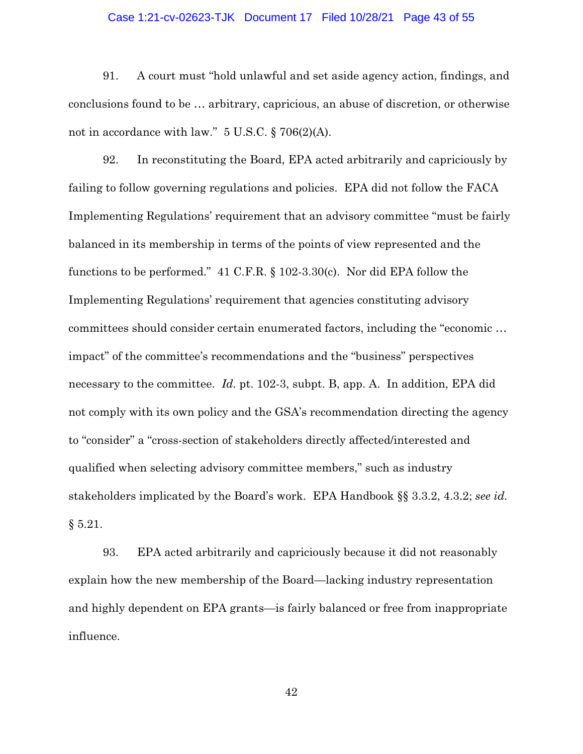#### Case 1:21-cv-02623-TJK Document 17 Filed 10/28/21 Page 43 of 55

91. A court must "hold unlawful and set aside agency action, findings, and conclusions found to be … arbitrary, capricious, an abuse of discretion, or otherwise not in accordance with law."  $5 \text{ U.S.C.}$  § 706(2)(A).

92. In reconstituting the Board, EPA acted arbitrarily and capriciously by failing to follow governing regulations and policies. EPA did not follow the FACA Implementing Regulations' requirement that an advisory committee "must be fairly balanced in its membership in terms of the points of view represented and the functions to be performed." 41 C.F.R. § 102-3.30(c). Nor did EPA follow the Implementing Regulations' requirement that agencies constituting advisory committees should consider certain enumerated factors, including the "economic … impact" of the committee's recommendations and the "business" perspectives necessary to the committee. *Id.* pt. 102-3, subpt. B, app. A. In addition, EPA did not comply with its own policy and the GSA's recommendation directing the agency to "consider" a "cross-section of stakeholders directly affected/interested and qualified when selecting advisory committee members," such as industry stakeholders implicated by the Board's work. EPA Handbook §§ 3.3.2, 4.3.2; *see id.*   $§ 5.21.$ 

93. EPA acted arbitrarily and capriciously because it did not reasonably explain how the new membership of the Board—lacking industry representation and highly dependent on EPA grants—is fairly balanced or free from inappropriate influence.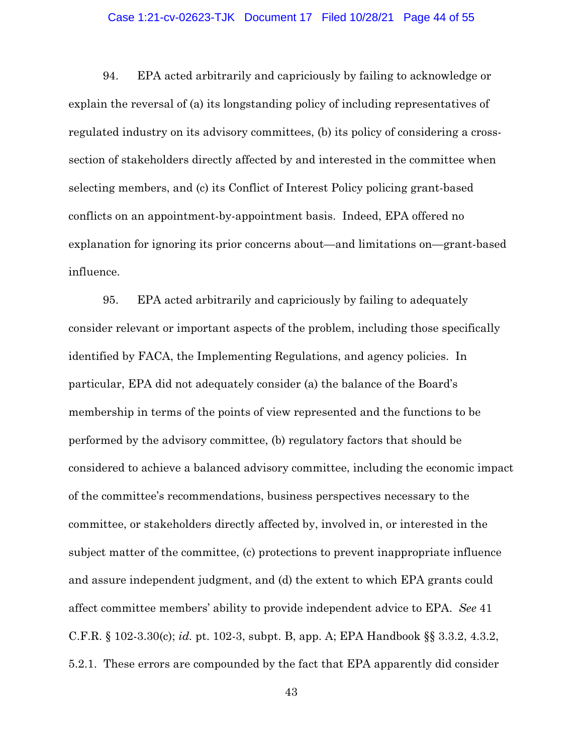#### Case 1:21-cv-02623-TJK Document 17 Filed 10/28/21 Page 44 of 55

94. EPA acted arbitrarily and capriciously by failing to acknowledge or explain the reversal of (a) its longstanding policy of including representatives of regulated industry on its advisory committees, (b) its policy of considering a crosssection of stakeholders directly affected by and interested in the committee when selecting members, and (c) its Conflict of Interest Policy policing grant-based conflicts on an appointment-by-appointment basis. Indeed, EPA offered no explanation for ignoring its prior concerns about—and limitations on—grant-based influence.

95. EPA acted arbitrarily and capriciously by failing to adequately consider relevant or important aspects of the problem, including those specifically identified by FACA, the Implementing Regulations, and agency policies. In particular, EPA did not adequately consider (a) the balance of the Board's membership in terms of the points of view represented and the functions to be performed by the advisory committee, (b) regulatory factors that should be considered to achieve a balanced advisory committee, including the economic impact of the committee's recommendations, business perspectives necessary to the committee, or stakeholders directly affected by, involved in, or interested in the subject matter of the committee, (c) protections to prevent inappropriate influence and assure independent judgment, and (d) the extent to which EPA grants could affect committee members' ability to provide independent advice to EPA. *See* 41 C.F.R. § 102-3.30(c); *id.* pt. 102-3, subpt. B, app. A; EPA Handbook §§ 3.3.2, 4.3.2, 5.2.1. These errors are compounded by the fact that EPA apparently did consider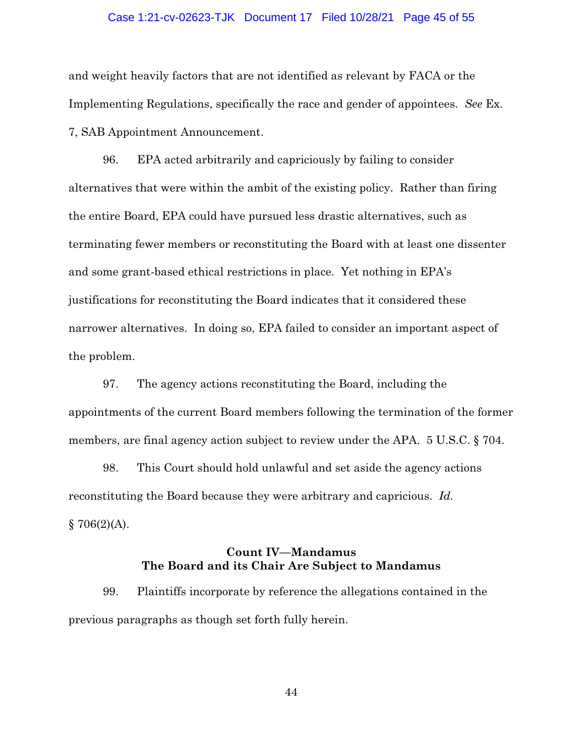#### Case 1:21-cv-02623-TJK Document 17 Filed 10/28/21 Page 45 of 55

and weight heavily factors that are not identified as relevant by FACA or the Implementing Regulations, specifically the race and gender of appointees. *See* Ex. 7, SAB Appointment Announcement.

96. EPA acted arbitrarily and capriciously by failing to consider alternatives that were within the ambit of the existing policy. Rather than firing the entire Board, EPA could have pursued less drastic alternatives, such as terminating fewer members or reconstituting the Board with at least one dissenter and some grant-based ethical restrictions in place. Yet nothing in EPA's justifications for reconstituting the Board indicates that it considered these narrower alternatives. In doing so, EPA failed to consider an important aspect of the problem.

97. The agency actions reconstituting the Board, including the appointments of the current Board members following the termination of the former members, are final agency action subject to review under the APA. 5 U.S.C. § 704.

98. This Court should hold unlawful and set aside the agency actions reconstituting the Board because they were arbitrary and capricious. *Id.*   $$706(2)(A).$ 

## **Count IV—Mandamus The Board and its Chair Are Subject to Mandamus**

99. Plaintiffs incorporate by reference the allegations contained in the previous paragraphs as though set forth fully herein.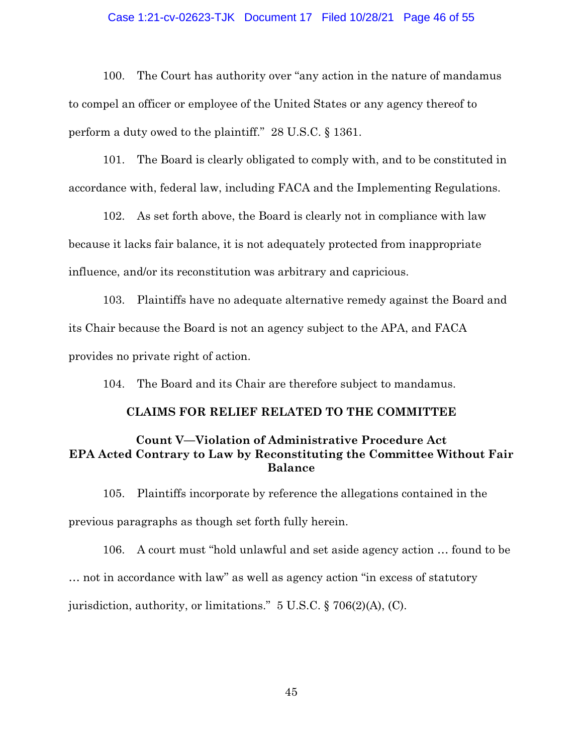#### Case 1:21-cv-02623-TJK Document 17 Filed 10/28/21 Page 46 of 55

100. The Court has authority over "any action in the nature of mandamus to compel an officer or employee of the United States or any agency thereof to perform a duty owed to the plaintiff." 28 U.S.C. § 1361.

101. The Board is clearly obligated to comply with, and to be constituted in accordance with, federal law, including FACA and the Implementing Regulations.

102. As set forth above, the Board is clearly not in compliance with law because it lacks fair balance, it is not adequately protected from inappropriate influence, and/or its reconstitution was arbitrary and capricious.

103. Plaintiffs have no adequate alternative remedy against the Board and its Chair because the Board is not an agency subject to the APA, and FACA provides no private right of action.

104. The Board and its Chair are therefore subject to mandamus.

### **CLAIMS FOR RELIEF RELATED TO THE COMMITTEE**

# **Count V—Violation of Administrative Procedure Act EPA Acted Contrary to Law by Reconstituting the Committee Without Fair Balance**

105. Plaintiffs incorporate by reference the allegations contained in the previous paragraphs as though set forth fully herein.

106. A court must "hold unlawful and set aside agency action … found to be … not in accordance with law" as well as agency action "in excess of statutory jurisdiction, authority, or limitations." 5 U.S.C. § 706(2)(A), (C).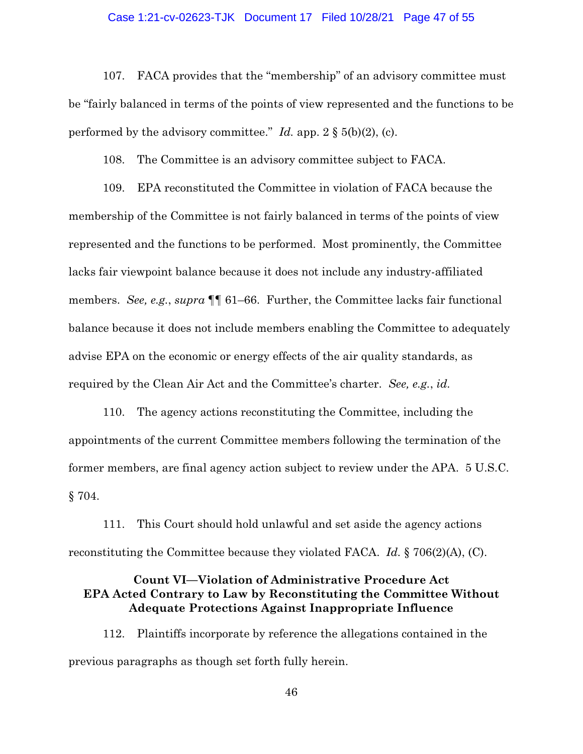#### Case 1:21-cv-02623-TJK Document 17 Filed 10/28/21 Page 47 of 55

107. FACA provides that the "membership" of an advisory committee must be "fairly balanced in terms of the points of view represented and the functions to be performed by the advisory committee." *Id.* app.  $2 \S(5(b)(2))$ , (c).

108. The Committee is an advisory committee subject to FACA.

109. EPA reconstituted the Committee in violation of FACA because the membership of the Committee is not fairly balanced in terms of the points of view represented and the functions to be performed. Most prominently, the Committee lacks fair viewpoint balance because it does not include any industry-affiliated members. *See, e.g.*, *supra* ¶¶ 61–66. Further, the Committee lacks fair functional balance because it does not include members enabling the Committee to adequately advise EPA on the economic or energy effects of the air quality standards, as required by the Clean Air Act and the Committee's charter. *See, e.g.*, *id.*

110. The agency actions reconstituting the Committee, including the appointments of the current Committee members following the termination of the former members, are final agency action subject to review under the APA. 5 U.S.C. § 704.

111. This Court should hold unlawful and set aside the agency actions reconstituting the Committee because they violated FACA. *Id.* § 706(2)(A), (C).

## **Count VI—Violation of Administrative Procedure Act EPA Acted Contrary to Law by Reconstituting the Committee Without Adequate Protections Against Inappropriate Influence**

112. Plaintiffs incorporate by reference the allegations contained in the previous paragraphs as though set forth fully herein.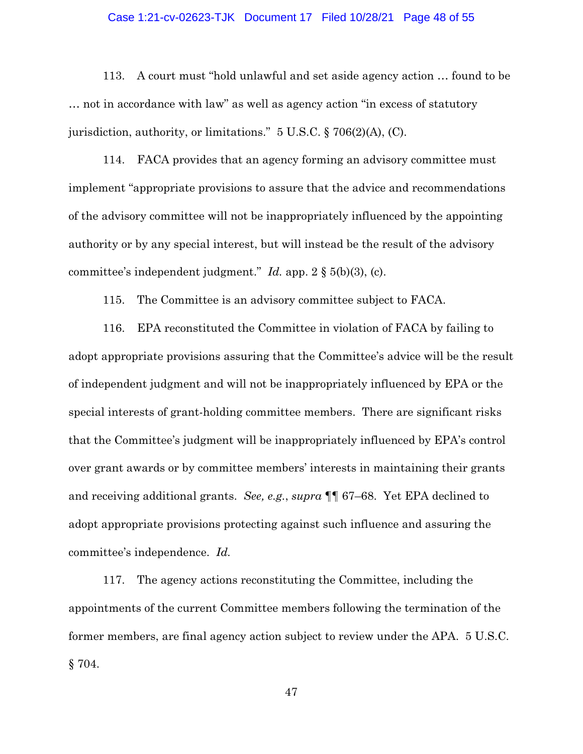#### Case 1:21-cv-02623-TJK Document 17 Filed 10/28/21 Page 48 of 55

113. A court must "hold unlawful and set aside agency action … found to be … not in accordance with law" as well as agency action "in excess of statutory jurisdiction, authority, or limitations." 5 U.S.C. § 706(2)(A), (C).

114. FACA provides that an agency forming an advisory committee must implement "appropriate provisions to assure that the advice and recommendations of the advisory committee will not be inappropriately influenced by the appointing authority or by any special interest, but will instead be the result of the advisory committee's independent judgment." *Id.* app. 2 § 5(b)(3), (c).

115. The Committee is an advisory committee subject to FACA.

116. EPA reconstituted the Committee in violation of FACA by failing to adopt appropriate provisions assuring that the Committee's advice will be the result of independent judgment and will not be inappropriately influenced by EPA or the special interests of grant-holding committee members. There are significant risks that the Committee's judgment will be inappropriately influenced by EPA's control over grant awards or by committee members' interests in maintaining their grants and receiving additional grants. *See, e.g.*, *supra* ¶¶ 67–68. Yet EPA declined to adopt appropriate provisions protecting against such influence and assuring the committee's independence. *Id.*

117. The agency actions reconstituting the Committee, including the appointments of the current Committee members following the termination of the former members, are final agency action subject to review under the APA. 5 U.S.C. § 704.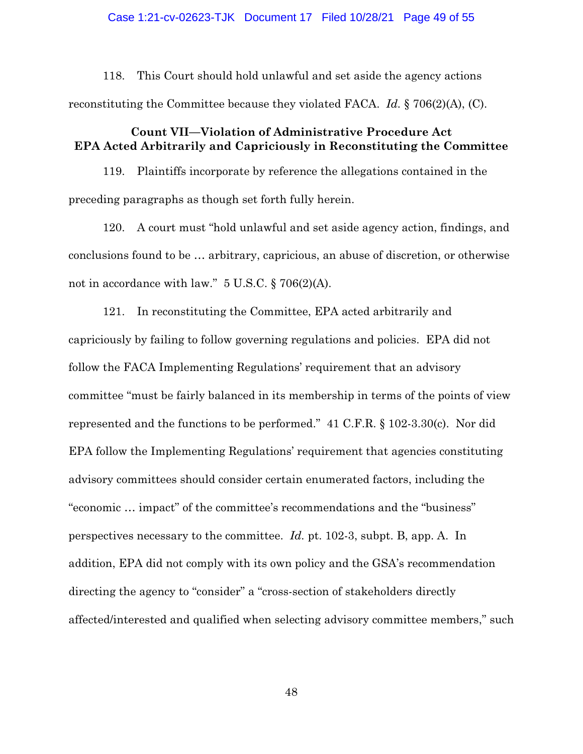#### Case 1:21-cv-02623-TJK Document 17 Filed 10/28/21 Page 49 of 55

118. This Court should hold unlawful and set aside the agency actions reconstituting the Committee because they violated FACA. *Id.* § 706(2)(A), (C).

## **Count VII—Violation of Administrative Procedure Act EPA Acted Arbitrarily and Capriciously in Reconstituting the Committee**

119. Plaintiffs incorporate by reference the allegations contained in the preceding paragraphs as though set forth fully herein.

120. A court must "hold unlawful and set aside agency action, findings, and conclusions found to be … arbitrary, capricious, an abuse of discretion, or otherwise not in accordance with law." 5 U.S.C. § 706(2)(A).

121. In reconstituting the Committee, EPA acted arbitrarily and capriciously by failing to follow governing regulations and policies. EPA did not follow the FACA Implementing Regulations' requirement that an advisory committee "must be fairly balanced in its membership in terms of the points of view represented and the functions to be performed." 41 C.F.R. § 102-3.30(c). Nor did EPA follow the Implementing Regulations' requirement that agencies constituting advisory committees should consider certain enumerated factors, including the "economic … impact" of the committee's recommendations and the "business" perspectives necessary to the committee. *Id.* pt. 102-3, subpt. B, app. A. In addition, EPA did not comply with its own policy and the GSA's recommendation directing the agency to "consider" a "cross-section of stakeholders directly affected/interested and qualified when selecting advisory committee members," such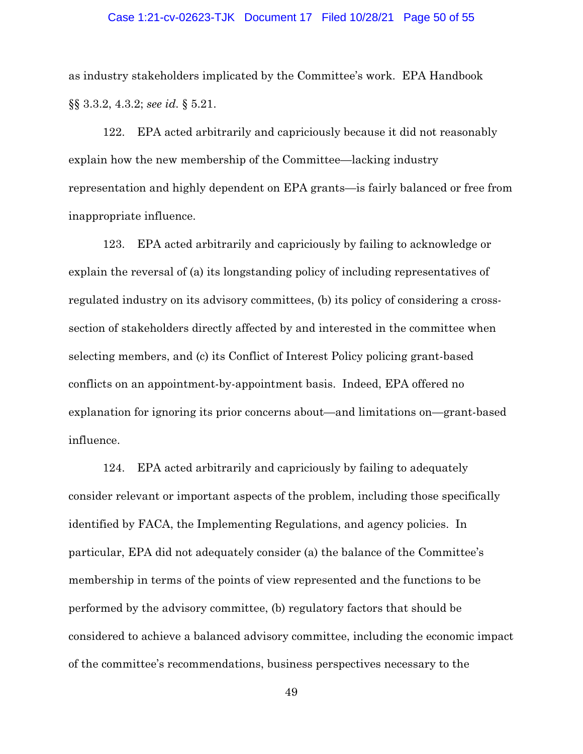#### Case 1:21-cv-02623-TJK Document 17 Filed 10/28/21 Page 50 of 55

as industry stakeholders implicated by the Committee's work. EPA Handbook §§ 3.3.2, 4.3.2; *see id.* § 5.21.

122. EPA acted arbitrarily and capriciously because it did not reasonably explain how the new membership of the Committee—lacking industry representation and highly dependent on EPA grants—is fairly balanced or free from inappropriate influence.

123. EPA acted arbitrarily and capriciously by failing to acknowledge or explain the reversal of (a) its longstanding policy of including representatives of regulated industry on its advisory committees, (b) its policy of considering a crosssection of stakeholders directly affected by and interested in the committee when selecting members, and (c) its Conflict of Interest Policy policing grant-based conflicts on an appointment-by-appointment basis. Indeed, EPA offered no explanation for ignoring its prior concerns about—and limitations on—grant-based influence.

124. EPA acted arbitrarily and capriciously by failing to adequately consider relevant or important aspects of the problem, including those specifically identified by FACA, the Implementing Regulations, and agency policies. In particular, EPA did not adequately consider (a) the balance of the Committee's membership in terms of the points of view represented and the functions to be performed by the advisory committee, (b) regulatory factors that should be considered to achieve a balanced advisory committee, including the economic impact of the committee's recommendations, business perspectives necessary to the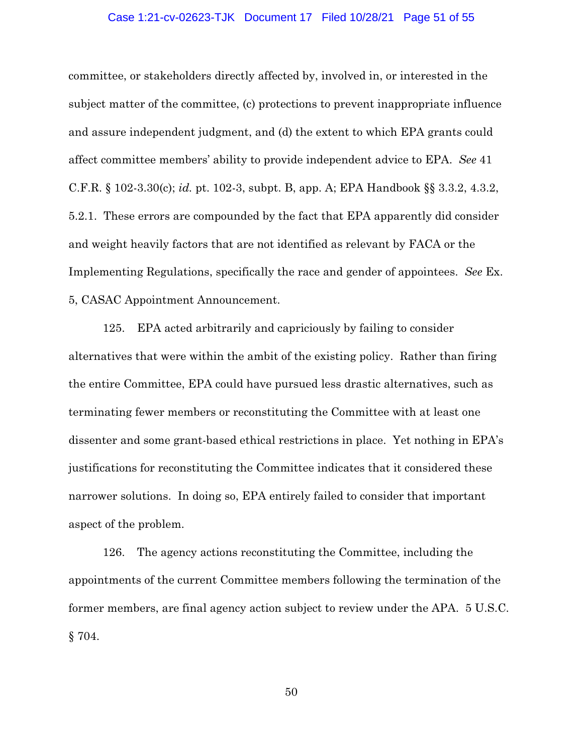#### Case 1:21-cv-02623-TJK Document 17 Filed 10/28/21 Page 51 of 55

committee, or stakeholders directly affected by, involved in, or interested in the subject matter of the committee, (c) protections to prevent inappropriate influence and assure independent judgment, and (d) the extent to which EPA grants could affect committee members' ability to provide independent advice to EPA. *See* 41 C.F.R. § 102-3.30(c); *id.* pt. 102-3, subpt. B, app. A; EPA Handbook §§ 3.3.2, 4.3.2, 5.2.1. These errors are compounded by the fact that EPA apparently did consider and weight heavily factors that are not identified as relevant by FACA or the Implementing Regulations, specifically the race and gender of appointees. *See* Ex. 5, CASAC Appointment Announcement.

125. EPA acted arbitrarily and capriciously by failing to consider alternatives that were within the ambit of the existing policy. Rather than firing the entire Committee, EPA could have pursued less drastic alternatives, such as terminating fewer members or reconstituting the Committee with at least one dissenter and some grant-based ethical restrictions in place. Yet nothing in EPA's justifications for reconstituting the Committee indicates that it considered these narrower solutions. In doing so, EPA entirely failed to consider that important aspect of the problem.

126. The agency actions reconstituting the Committee, including the appointments of the current Committee members following the termination of the former members, are final agency action subject to review under the APA. 5 U.S.C. § 704.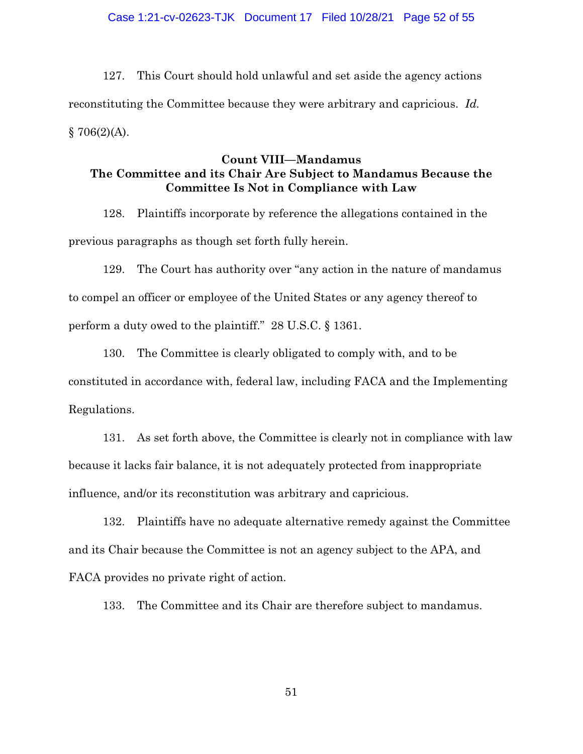127. This Court should hold unlawful and set aside the agency actions reconstituting the Committee because they were arbitrary and capricious. *Id.*  $$706(2)(A).$ 

# **Count VIII—Mandamus The Committee and its Chair Are Subject to Mandamus Because the Committee Is Not in Compliance with Law**

128. Plaintiffs incorporate by reference the allegations contained in the previous paragraphs as though set forth fully herein.

129. The Court has authority over "any action in the nature of mandamus to compel an officer or employee of the United States or any agency thereof to perform a duty owed to the plaintiff." 28 U.S.C. § 1361.

130. The Committee is clearly obligated to comply with, and to be constituted in accordance with, federal law, including FACA and the Implementing Regulations.

131. As set forth above, the Committee is clearly not in compliance with law because it lacks fair balance, it is not adequately protected from inappropriate influence, and/or its reconstitution was arbitrary and capricious.

132. Plaintiffs have no adequate alternative remedy against the Committee and its Chair because the Committee is not an agency subject to the APA, and FACA provides no private right of action.

133. The Committee and its Chair are therefore subject to mandamus.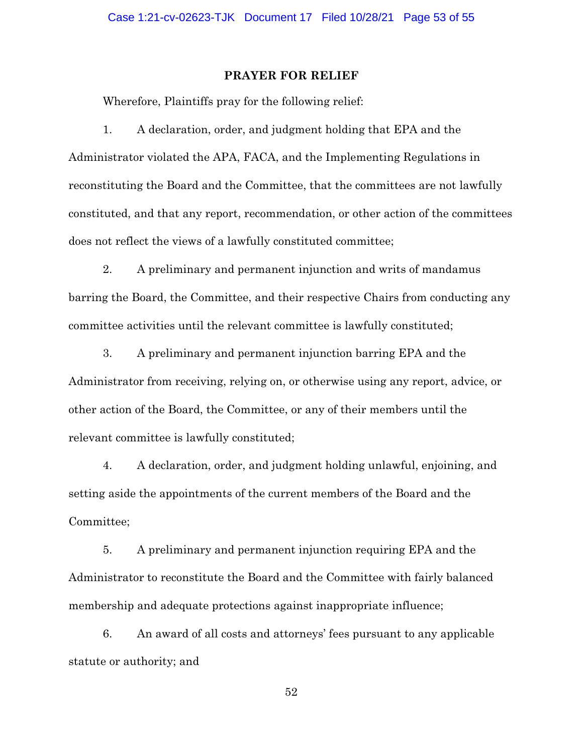### **PRAYER FOR RELIEF**

Wherefore, Plaintiffs pray for the following relief:

1. A declaration, order, and judgment holding that EPA and the Administrator violated the APA, FACA, and the Implementing Regulations in reconstituting the Board and the Committee, that the committees are not lawfully constituted, and that any report, recommendation, or other action of the committees does not reflect the views of a lawfully constituted committee;

2. A preliminary and permanent injunction and writs of mandamus barring the Board, the Committee, and their respective Chairs from conducting any committee activities until the relevant committee is lawfully constituted;

3. A preliminary and permanent injunction barring EPA and the Administrator from receiving, relying on, or otherwise using any report, advice, or other action of the Board, the Committee, or any of their members until the relevant committee is lawfully constituted;

4. A declaration, order, and judgment holding unlawful, enjoining, and setting aside the appointments of the current members of the Board and the Committee;

5. A preliminary and permanent injunction requiring EPA and the Administrator to reconstitute the Board and the Committee with fairly balanced membership and adequate protections against inappropriate influence;

6. An award of all costs and attorneys' fees pursuant to any applicable statute or authority; and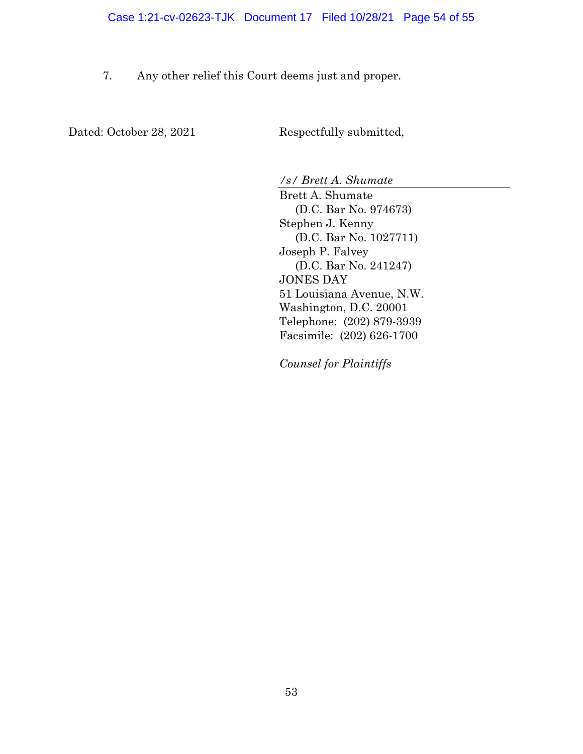7. Any other relief this Court deems just and proper.

Dated: October 28, 2021 Respectfully submitted,

*/s/ Brett A. Shumate* 

Brett A. Shumate (D.C. Bar No. 974673) Stephen J. Kenny (D.C. Bar No. 1027711) Joseph P. Falvey (D.C. Bar No. 241247) JONES DAY 51 Louisiana Avenue, N.W. Washington, D.C. 20001 Telephone: (202) 879-3939 Facsimile: (202) 626-1700

*Counsel for Plaintiffs*